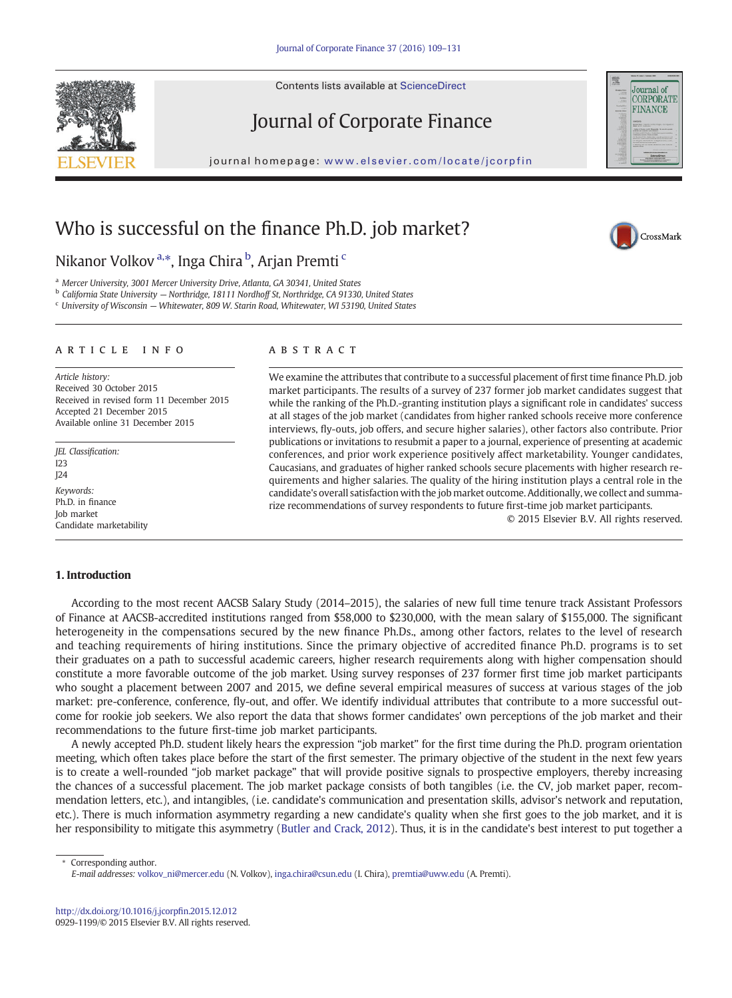Contents lists available at ScienceDirect

# Journal of Corporate Finance

journal homepage: www.elsevier.com/locate/jcorp/locate/jcorp/locate/jcorp/locate/jcorp/locate/jcorp/locate/jcorp/

# Who is successful on the finance Ph.D. job market?

# Nikanor Volkov<sup>a,\*</sup>, Inga Chira <sup>b</sup>, Arjan Premti <sup>c</sup>

<sup>a</sup> Mercer University, 3001 Mercer University Drive, Atlanta, GA 30341, United States

<sup>b</sup> California State University — Northridge, 18111 Nordhoff St, Northridge, CA 91330, United States

 $\epsilon$  University of Wisconsin  $-$  Whitewater, 809 W. Starin Road, Whitewater, WI 53190, United States

#### article info abstract

Article history: Received 30 October 2015 Received in revised form 11 December 2015 Accepted 21 December 2015 Available online 31 December 2015

JEL Classification:  $123$ J24 Keywords: Ph.D. in finance Job market Candidate marketability

We examine the attributes that contribute to a successful placement of first time finance Ph.D. job market participants. The results of a survey of 237 former job market candidates suggest that while the ranking of the Ph.D.-granting institution plays a significant role in candidates' success at all stages of the job market (candidates from higher ranked schools receive more conference interviews, fly-outs, job offers, and secure higher salaries), other factors also contribute. Prior publications or invitations to resubmit a paper to a journal, experience of presenting at academic conferences, and prior work experience positively affect marketability. Younger candidates, Caucasians, and graduates of higher ranked schools secure placements with higher research requirements and higher salaries. The quality of the hiring institution plays a central role in the candidate's overall satisfaction with the job market outcome. Additionally, we collect and summarize recommendations of survey respondents to future first-time job market participants.

© 2015 Elsevier B.V. All rights reserved.

### 1. Introduction

According to the most recent AACSB Salary Study (2014–2015), the salaries of new full time tenure track Assistant Professors of Finance at AACSB-accredited institutions ranged from \$58,000 to \$230,000, with the mean salary of \$155,000. The significant heterogeneity in the compensations secured by the new finance Ph.Ds., among other factors, relates to the level of research and teaching requirements of hiring institutions. Since the primary objective of accredited finance Ph.D. programs is to set their graduates on a path to successful academic careers, higher research requirements along with higher compensation should constitute a more favorable outcome of the job market. Using survey responses of 237 former first time job market participants who sought a placement between 2007 and 2015, we define several empirical measures of success at various stages of the job market: pre-conference, conference, fly-out, and offer. We identify individual attributes that contribute to a more successful outcome for rookie job seekers. We also report the data that shows former candidates' own perceptions of the job market and their recommendations to the future first-time job market participants.

A newly accepted Ph.D. student likely hears the expression "job market" for the first time during the Ph.D. program orientation meeting, which often takes place before the start of the first semester. The primary objective of the student in the next few years is to create a well-rounded "job market package" that will provide positive signals to prospective employers, thereby increasing the chances of a successful placement. The job market package consists of both tangibles (i.e. the CV, job market paper, recommendation letters, etc.), and intangibles, (i.e. candidate's communication and presentation skills, advisor's network and reputation, etc.). There is much information asymmetry regarding a new candidate's quality when she first goes to the job market, and it is her responsibility to mitigate this asymmetry [\(Butler and Crack, 2012](#page-21-0)). Thus, it is in the candidate's best interest to put together a

Corresponding author. E-mail addresses: [volkov\\_ni@mercer.edu](mailto:volkov_ni@mercer.edu) (N. Volkov), [inga.chira@csun.edu](mailto:inga.chira@csun.edu) (I. Chira), [premtia@uww.edu](mailto:premtia@uww.edu) (A. Premti).

[http://dx.doi.org/10.1016/j.jcorp](http://dx.doi.org/10.1016/j.jcorpfin.2015.12.012)fin.2015.12.012 0929-1199/© 2015 Elsevier B.V. All rights reserved.





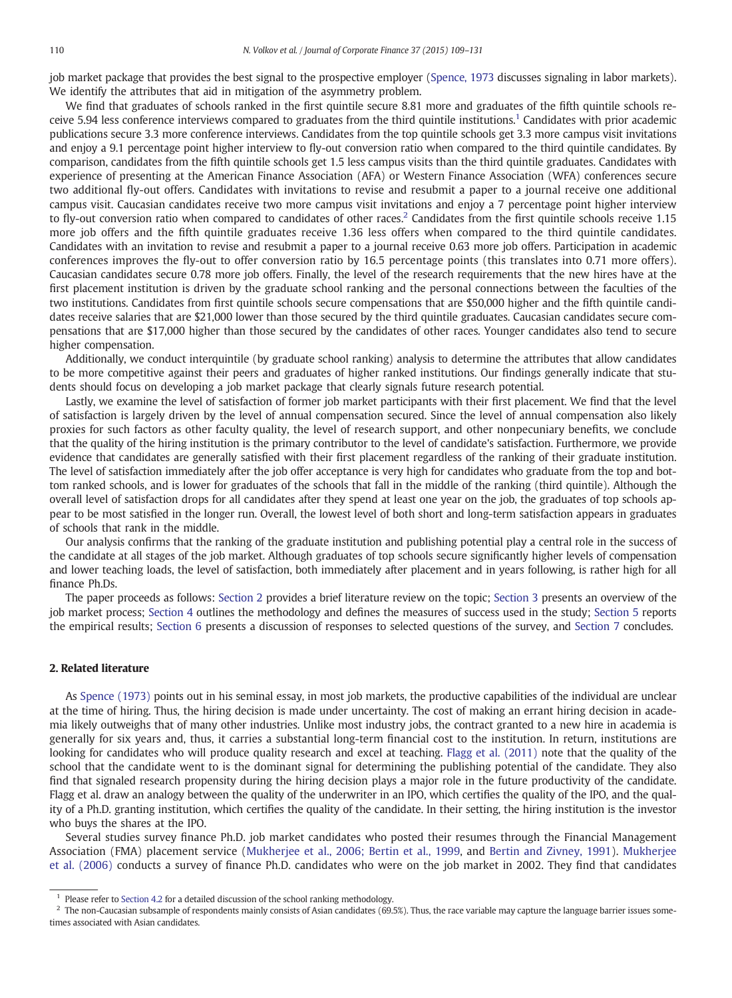job market package that provides the best signal to the prospective employer [\(Spence, 1973](#page-22-0) discusses signaling in labor markets). We identify the attributes that aid in mitigation of the asymmetry problem.

We find that graduates of schools ranked in the first quintile secure 8.81 more and graduates of the fifth quintile schools receive 5.94 less conference interviews compared to graduates from the third quintile institutions.<sup>1</sup> Candidates with prior academic publications secure 3.3 more conference interviews. Candidates from the top quintile schools get 3.3 more campus visit invitations and enjoy a 9.1 percentage point higher interview to fly-out conversion ratio when compared to the third quintile candidates. By comparison, candidates from the fifth quintile schools get 1.5 less campus visits than the third quintile graduates. Candidates with experience of presenting at the American Finance Association (AFA) or Western Finance Association (WFA) conferences secure two additional fly-out offers. Candidates with invitations to revise and resubmit a paper to a journal receive one additional campus visit. Caucasian candidates receive two more campus visit invitations and enjoy a 7 percentage point higher interview to fly-out conversion ratio when compared to candidates of other races.<sup>2</sup> Candidates from the first quintile schools receive 1.15 more job offers and the fifth quintile graduates receive 1.36 less offers when compared to the third quintile candidates. Candidates with an invitation to revise and resubmit a paper to a journal receive 0.63 more job offers. Participation in academic conferences improves the fly-out to offer conversion ratio by 16.5 percentage points (this translates into 0.71 more offers). Caucasian candidates secure 0.78 more job offers. Finally, the level of the research requirements that the new hires have at the first placement institution is driven by the graduate school ranking and the personal connections between the faculties of the two institutions. Candidates from first quintile schools secure compensations that are \$50,000 higher and the fifth quintile candidates receive salaries that are \$21,000 lower than those secured by the third quintile graduates. Caucasian candidates secure compensations that are \$17,000 higher than those secured by the candidates of other races. Younger candidates also tend to secure higher compensation.

Additionally, we conduct interquintile (by graduate school ranking) analysis to determine the attributes that allow candidates to be more competitive against their peers and graduates of higher ranked institutions. Our findings generally indicate that students should focus on developing a job market package that clearly signals future research potential.

Lastly, we examine the level of satisfaction of former job market participants with their first placement. We find that the level of satisfaction is largely driven by the level of annual compensation secured. Since the level of annual compensation also likely proxies for such factors as other faculty quality, the level of research support, and other nonpecuniary benefits, we conclude that the quality of the hiring institution is the primary contributor to the level of candidate's satisfaction. Furthermore, we provide evidence that candidates are generally satisfied with their first placement regardless of the ranking of their graduate institution. The level of satisfaction immediately after the job offer acceptance is very high for candidates who graduate from the top and bottom ranked schools, and is lower for graduates of the schools that fall in the middle of the ranking (third quintile). Although the overall level of satisfaction drops for all candidates after they spend at least one year on the job, the graduates of top schools appear to be most satisfied in the longer run. Overall, the lowest level of both short and long-term satisfaction appears in graduates of schools that rank in the middle.

Our analysis confirms that the ranking of the graduate institution and publishing potential play a central role in the success of the candidate at all stages of the job market. Although graduates of top schools secure significantly higher levels of compensation and lower teaching loads, the level of satisfaction, both immediately after placement and in years following, is rather high for all finance Ph.Ds.

The paper proceeds as follows: Section 2 provides a brief literature review on the topic; [Section 3](#page-2-0) presents an overview of the job market process; [Section 4](#page-4-0) outlines the methodology and defines the measures of success used in the study; [Section 5](#page-5-0) reports the empirical results; [Section 6](#page-18-0) presents a discussion of responses to selected questions of the survey, and [Section 7](#page-20-0) concludes.

#### 2. Related literature

As [Spence \(1973\)](#page-22-0) points out in his seminal essay, in most job markets, the productive capabilities of the individual are unclear at the time of hiring. Thus, the hiring decision is made under uncertainty. The cost of making an errant hiring decision in academia likely outweighs that of many other industries. Unlike most industry jobs, the contract granted to a new hire in academia is generally for six years and, thus, it carries a substantial long-term financial cost to the institution. In return, institutions are looking for candidates who will produce quality research and excel at teaching. [Flagg et al. \(2011\)](#page-22-0) note that the quality of the school that the candidate went to is the dominant signal for determining the publishing potential of the candidate. They also find that signaled research propensity during the hiring decision plays a major role in the future productivity of the candidate. Flagg et al. draw an analogy between the quality of the underwriter in an IPO, which certifies the quality of the IPO, and the quality of a Ph.D. granting institution, which certifies the quality of the candidate. In their setting, the hiring institution is the investor who buys the shares at the IPO.

Several studies survey finance Ph.D. job market candidates who posted their resumes through the Financial Management Association (FMA) placement service [\(Mukherjee et al., 2006; Bertin et al., 1999](#page-22-0), and [Bertin and Zivney, 1991\)](#page-21-0). [Mukherjee](#page-22-0) [et al. \(2006\)](#page-22-0) conducts a survey of finance Ph.D. candidates who were on the job market in 2002. They find that candidates

 $1$  Please refer to [Section 4.2](#page-4-0) for a detailed discussion of the school ranking methodology.

 $^2$  The non-Caucasian subsample of respondents mainly consists of Asian candidates (69.5%). Thus, the race variable may capture the language barrier issues sometimes associated with Asian candidates.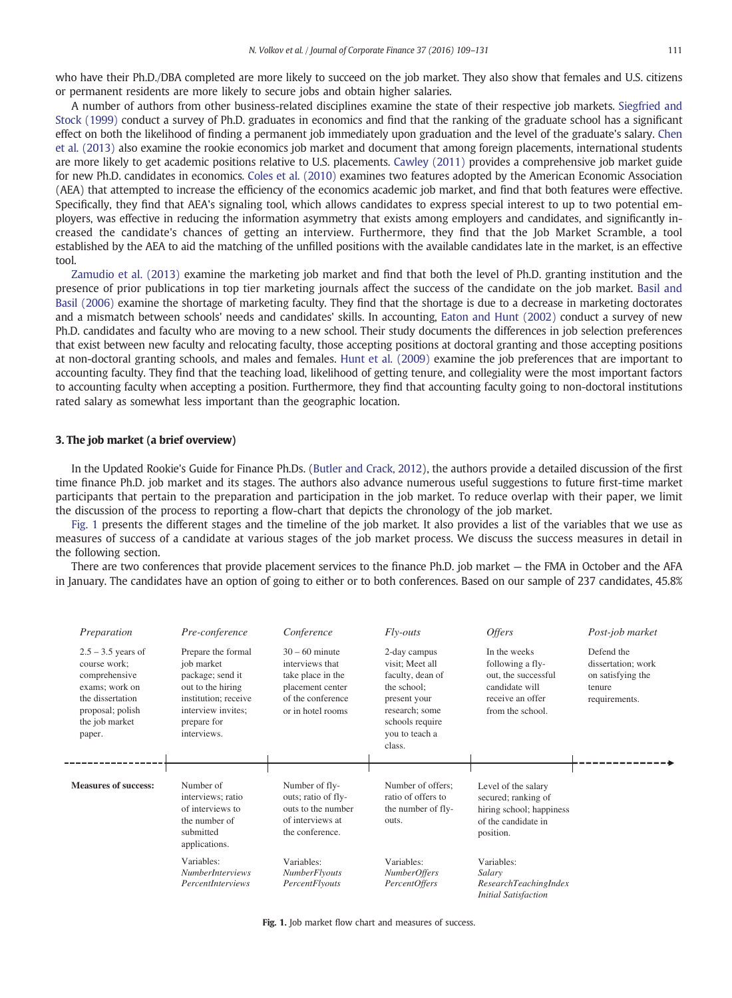<span id="page-2-0"></span>who have their Ph.D./DBA completed are more likely to succeed on the job market. They also show that females and U.S. citizens or permanent residents are more likely to secure jobs and obtain higher salaries.

A number of authors from other business-related disciplines examine the state of their respective job markets. [Siegfried and](#page-22-0) [Stock \(1999\)](#page-22-0) conduct a survey of Ph.D. graduates in economics and find that the ranking of the graduate school has a significant effect on both the likelihood of finding a permanent job immediately upon graduation and the level of the graduate's salary. [Chen](#page-21-0) [et al. \(2013\)](#page-21-0) also examine the rookie economics job market and document that among foreign placements, international students are more likely to get academic positions relative to U.S. placements. [Cawley \(2011\)](#page-21-0) provides a comprehensive job market guide for new Ph.D. candidates in economics. [Coles et al. \(2010\)](#page-21-0) examines two features adopted by the American Economic Association (AEA) that attempted to increase the efficiency of the economics academic job market, and find that both features were effective. Specifically, they find that AEA's signaling tool, which allows candidates to express special interest to up to two potential employers, was effective in reducing the information asymmetry that exists among employers and candidates, and significantly increased the candidate's chances of getting an interview. Furthermore, they find that the Job Market Scramble, a tool established by the AEA to aid the matching of the unfilled positions with the available candidates late in the market, is an effective tool.

[Zamudio et al. \(2013\)](#page-22-0) examine the marketing job market and find that both the level of Ph.D. granting institution and the presence of prior publications in top tier marketing journals affect the success of the candidate on the job market. [Basil and](#page-21-0) [Basil \(2006\)](#page-21-0) examine the shortage of marketing faculty. They find that the shortage is due to a decrease in marketing doctorates and a mismatch between schools' needs and candidates' skills. In accounting, [Eaton and Hunt \(2002\)](#page-22-0) conduct a survey of new Ph.D. candidates and faculty who are moving to a new school. Their study documents the differences in job selection preferences that exist between new faculty and relocating faculty, those accepting positions at doctoral granting and those accepting positions at non-doctoral granting schools, and males and females. [Hunt et al. \(2009\)](#page-22-0) examine the job preferences that are important to accounting faculty. They find that the teaching load, likelihood of getting tenure, and collegiality were the most important factors to accounting faculty when accepting a position. Furthermore, they find that accounting faculty going to non-doctoral institutions rated salary as somewhat less important than the geographic location.

#### 3. The job market (a brief overview)

In the Updated Rookie's Guide for Finance Ph.Ds. ([Butler and Crack, 2012\)](#page-21-0), the authors provide a detailed discussion of the first time finance Ph.D. job market and its stages. The authors also advance numerous useful suggestions to future first-time market participants that pertain to the preparation and participation in the job market. To reduce overlap with their paper, we limit the discussion of the process to reporting a flow-chart that depicts the chronology of the job market.

Fig. 1 presents the different stages and the timeline of the job market. It also provides a list of the variables that we use as measures of success of a candidate at various stages of the job market process. We discuss the success measures in detail in the following section.

There are two conferences that provide placement services to the finance Ph.D. job market — the FMA in October and the AFA in January. The candidates have an option of going to either or to both conferences. Based on our sample of 237 candidates, 45.8%



Fig. 1. Job market flow chart and measures of success.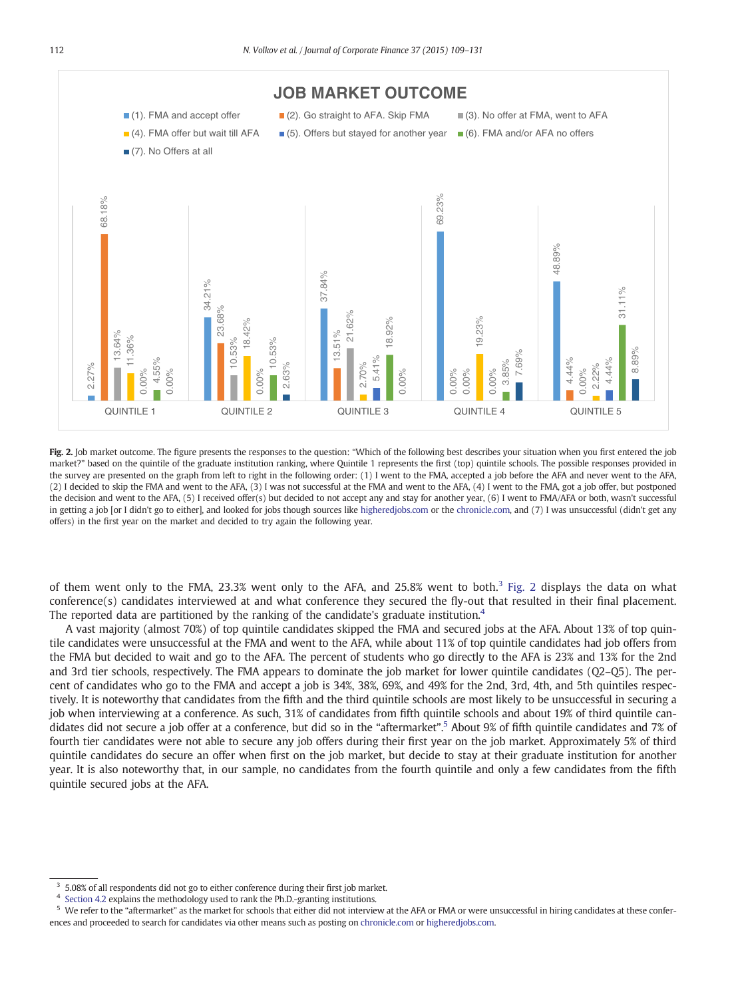<span id="page-3-0"></span>

Fig. 2. Job market outcome. The figure presents the responses to the question: "Which of the following best describes your situation when you first entered the job market?" based on the quintile of the graduate institution ranking, where Quintile 1 represents the first (top) quintile schools. The possible responses provided in the survey are presented on the graph from left to right in the following order: (1) I went to the FMA, accepted a job before the AFA and never went to the AFA, (2) I decided to skip the FMA and went to the AFA, (3) I was not successful at the FMA and went to the AFA, (4) I went to the FMA, got a job offer, but postponed the decision and went to the AFA, (5) I received offer(s) but decided to not accept any and stay for another year, (6) I went to FMA/AFA or both, wasn't successful in getting a job [or I didn't go to either], and looked for jobs though sources like [higheredjobs.com](http://higheredjobs.com) or the [chronicle.com](http://chronicle.com), and (7) I was unsuccessful (didn't get any offers) in the first year on the market and decided to try again the following year.

of them went only to the FMA, 23.3% went only to the AFA, and 25.8% went to both.<sup>3</sup> Fig. 2 displays the data on what conference(s) candidates interviewed at and what conference they secured the fly-out that resulted in their final placement. The reported data are partitioned by the ranking of the candidate's graduate institution.<sup>4</sup>

A vast majority (almost 70%) of top quintile candidates skipped the FMA and secured jobs at the AFA. About 13% of top quintile candidates were unsuccessful at the FMA and went to the AFA, while about 11% of top quintile candidates had job offers from the FMA but decided to wait and go to the AFA. The percent of students who go directly to the AFA is 23% and 13% for the 2nd and 3rd tier schools, respectively. The FMA appears to dominate the job market for lower quintile candidates (Q2–Q5). The percent of candidates who go to the FMA and accept a job is 34%, 38%, 69%, and 49% for the 2nd, 3rd, 4th, and 5th quintiles respectively. It is noteworthy that candidates from the fifth and the third quintile schools are most likely to be unsuccessful in securing a job when interviewing at a conference. As such, 31% of candidates from fifth quintile schools and about 19% of third quintile candidates did not secure a job offer at a conference, but did so in the "aftermarket". <sup>5</sup> About 9% of fifth quintile candidates and 7% of fourth tier candidates were not able to secure any job offers during their first year on the job market. Approximately 5% of third quintile candidates do secure an offer when first on the job market, but decide to stay at their graduate institution for another year. It is also noteworthy that, in our sample, no candidates from the fourth quintile and only a few candidates from the fifth quintile secured jobs at the AFA.

<sup>&</sup>lt;sup>3</sup> 5.08% of all respondents did not go to either conference during their first job market.

<sup>4</sup> [Section 4.2](#page-4-0) explains the methodology used to rank the Ph.D.-granting institutions.

<sup>&</sup>lt;sup>5</sup> We refer to the "aftermarket" as the market for schools that either did not interview at the AFA or FMA or were unsuccessful in hiring candidates at these confer-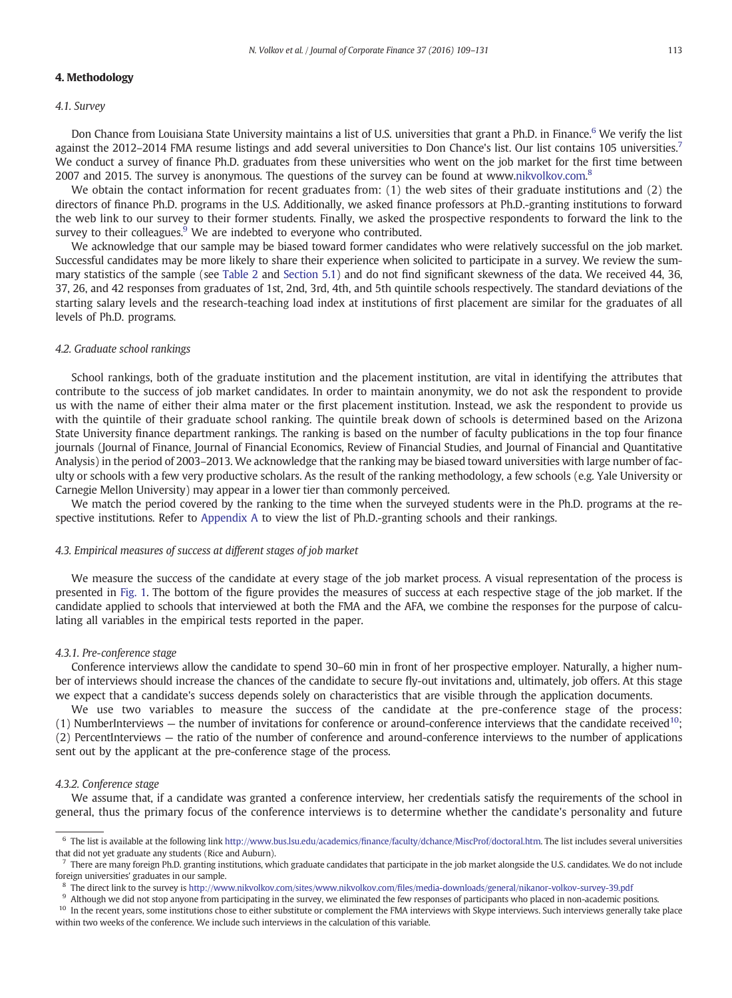#### <span id="page-4-0"></span>4. Methodology

#### 4.1. Survey

Don Chance from Louisiana State University maintains a list of U.S. universities that grant a Ph.D. in Finance.<sup>6</sup> We verify the list against the 2012–2014 FMA resume listings and add several universities to Don Chance's list. Our list contains 105 universities.<sup>7</sup> We conduct a survey of finance Ph.D. graduates from these universities who went on the job market for the first time between 2007 and 2015. The survey is anonymous. The questions of the survey can be found at www.[nikvolkov.com](http://nikvolkov.com).<sup>8</sup>

We obtain the contact information for recent graduates from: (1) the web sites of their graduate institutions and (2) the directors of finance Ph.D. programs in the U.S. Additionally, we asked finance professors at Ph.D.-granting institutions to forward the web link to our survey to their former students. Finally, we asked the prospective respondents to forward the link to the survey to their colleagues. $9$  We are indebted to everyone who contributed.

We acknowledge that our sample may be biased toward former candidates who were relatively successful on the job market. Successful candidates may be more likely to share their experience when solicited to participate in a survey. We review the summary statistics of the sample (see [Table 2](#page-7-0) and [Section 5.1](#page-5-0)) and do not find significant skewness of the data. We received 44, 36, 37, 26, and 42 responses from graduates of 1st, 2nd, 3rd, 4th, and 5th quintile schools respectively. The standard deviations of the starting salary levels and the research-teaching load index at institutions of first placement are similar for the graduates of all levels of Ph.D. programs.

#### 4.2. Graduate school rankings

School rankings, both of the graduate institution and the placement institution, are vital in identifying the attributes that contribute to the success of job market candidates. In order to maintain anonymity, we do not ask the respondent to provide us with the name of either their alma mater or the first placement institution. Instead, we ask the respondent to provide us with the quintile of their graduate school ranking. The quintile break down of schools is determined based on the Arizona State University finance department rankings. The ranking is based on the number of faculty publications in the top four finance journals (Journal of Finance, Journal of Financial Economics, Review of Financial Studies, and Journal of Financial and Quantitative Analysis) in the period of 2003–2013. We acknowledge that the ranking may be biased toward universities with large number of faculty or schools with a few very productive scholars. As the result of the ranking methodology, a few schools (e.g. Yale University or Carnegie Mellon University) may appear in a lower tier than commonly perceived.

We match the period covered by the ranking to the time when the surveyed students were in the Ph.D. programs at the respective institutions. Refer to [Appendix A](#page-21-0) to view the list of Ph.D.-granting schools and their rankings.

#### 4.3. Empirical measures of success at different stages of job market

We measure the success of the candidate at every stage of the job market process. A visual representation of the process is presented in [Fig. 1.](#page-2-0) The bottom of the figure provides the measures of success at each respective stage of the job market. If the candidate applied to schools that interviewed at both the FMA and the AFA, we combine the responses for the purpose of calculating all variables in the empirical tests reported in the paper.

#### 4.3.1. Pre-conference stage

Conference interviews allow the candidate to spend 30–60 min in front of her prospective employer. Naturally, a higher number of interviews should increase the chances of the candidate to secure fly-out invitations and, ultimately, job offers. At this stage we expect that a candidate's success depends solely on characteristics that are visible through the application documents.

We use two variables to measure the success of the candidate at the pre-conference stage of the process: (1) NumberInterviews  $-$  the number of invitations for conference or around-conference interviews that the candidate received<sup>10</sup>; (2) PercentInterviews — the ratio of the number of conference and around-conference interviews to the number of applications sent out by the applicant at the pre-conference stage of the process.

#### 4.3.2. Conference stage

We assume that, if a candidate was granted a conference interview, her credentials satisfy the requirements of the school in general, thus the primary focus of the conference interviews is to determine whether the candidate's personality and future

<sup>9</sup> Although we did not stop anyone from participating in the survey, we eliminated the few responses of participants who placed in non-academic positions.

<sup>6</sup> The list is available at the following link http://www.bus.lsu.edu/academics/fi[nance/faculty/dchance/MiscProf/doctoral.htm](http://www.bus.lsu.edu/academics/finance/faculty/dchance/MiscProf/doctoral.htm). The list includes several universities that did not yet graduate any students (Rice and Auburn).

<sup>7</sup> There are many foreign Ph.D. granting institutions, which graduate candidates that participate in the job market alongside the U.S. candidates. We do not include foreign universities' graduates in our sample.

<sup>8</sup> The direct link to the survey is http://www.nikvolkov.com/sites/www.nikvolkov.com/fi[les/media-downloads/general/nikanor-volkov-survey-39.pdf](http://www.nikvolkov.com/sites/www.nikvolkov.com/files/media-downloads/general/nikanor-volkov-survey-39.pdf)

<sup>&</sup>lt;sup>10</sup> In the recent years, some institutions chose to either substitute or complement the FMA interviews with Skype interviews. Such interviews generally take place within two weeks of the conference. We include such interviews in the calculation of this variable.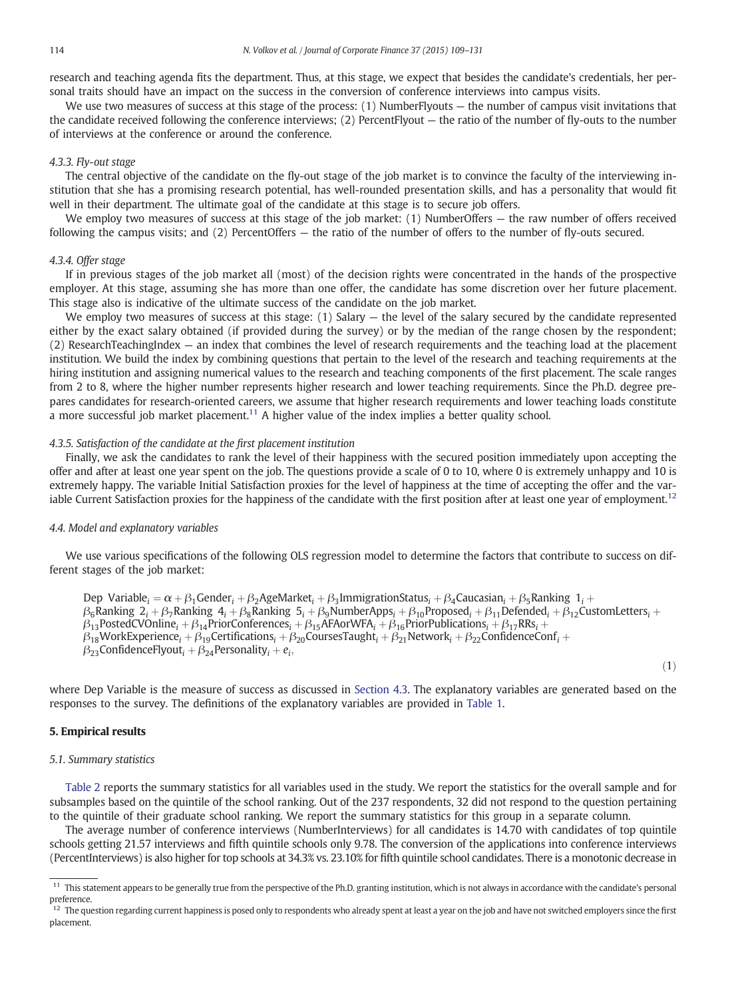<span id="page-5-0"></span>research and teaching agenda fits the department. Thus, at this stage, we expect that besides the candidate's credentials, her personal traits should have an impact on the success in the conversion of conference interviews into campus visits.

We use two measures of success at this stage of the process: (1) NumberFlyouts — the number of campus visit invitations that the candidate received following the conference interviews; (2) PercentFlyout — the ratio of the number of fly-outs to the number of interviews at the conference or around the conference.

#### 4.3.3. Fly-out stage

The central objective of the candidate on the fly-out stage of the job market is to convince the faculty of the interviewing institution that she has a promising research potential, has well-rounded presentation skills, and has a personality that would fit well in their department. The ultimate goal of the candidate at this stage is to secure job offers.

We employ two measures of success at this stage of the job market: (1) NumberOffers — the raw number of offers received following the campus visits; and (2) PercentOffers — the ratio of the number of offers to the number of fly-outs secured.

#### 4.3.4. Offer stage

If in previous stages of the job market all (most) of the decision rights were concentrated in the hands of the prospective employer. At this stage, assuming she has more than one offer, the candidate has some discretion over her future placement. This stage also is indicative of the ultimate success of the candidate on the job market.

We employ two measures of success at this stage:  $(1)$  Salary  $-$  the level of the salary secured by the candidate represented either by the exact salary obtained (if provided during the survey) or by the median of the range chosen by the respondent; (2) ResearchTeachingIndex — an index that combines the level of research requirements and the teaching load at the placement institution. We build the index by combining questions that pertain to the level of the research and teaching requirements at the hiring institution and assigning numerical values to the research and teaching components of the first placement. The scale ranges from 2 to 8, where the higher number represents higher research and lower teaching requirements. Since the Ph.D. degree prepares candidates for research-oriented careers, we assume that higher research requirements and lower teaching loads constitute a more successful job market placement.<sup>11</sup> A higher value of the index implies a better quality school.

#### 4.3.5. Satisfaction of the candidate at the first placement institution

Finally, we ask the candidates to rank the level of their happiness with the secured position immediately upon accepting the offer and after at least one year spent on the job. The questions provide a scale of 0 to 10, where 0 is extremely unhappy and 10 is extremely happy. The variable Initial Satisfaction proxies for the level of happiness at the time of accepting the offer and the variable Current Satisfaction proxies for the happiness of the candidate with the first position after at least one year of employment.<sup>12</sup>

#### 4.4. Model and explanatory variables

We use various specifications of the following OLS regression model to determine the factors that contribute to success on different stages of the job market:

Dep Variable:  $= \alpha + \beta_1$ Gender:  $+ \beta_2$ AgeMarket:  $+ \beta_2$ ImmigrationStatus:  $+ \beta_2$ Caucasian:  $+ \beta_2$ Ranking 1:  $+$  $\beta_6$ Ranking  $2_i + \beta_7$ Ranking  $4_i + \beta_8$ Ranking  $5_i + \beta_9$ NumberApps<sub>i</sub> +  $\beta_{10}$ Proposed<sub>i</sub> +  $\beta_{11}$ Defended<sub>i</sub> +  $\beta_{12}$ CustomLetters<sub>i</sub> +  $\beta_{13}$ PostedCVOnline<sub>i</sub> +  $\beta_{14}$ PriorConferences<sub>i</sub> +  $\beta_{15}$ AFAorWFA<sub>i</sub> +  $\beta_{16}$ PriorPublications<sub>i</sub> +  $\beta_{17}$ RRs<sub>i</sub> +  $\beta_{18}$ WorkExperience<sub>i</sub> +  $\beta_{19}$ Certifications<sub>i</sub> +  $\beta_{20}$ CoursesTaught<sub>i</sub> +  $\beta_{21}$ Network<sub>i</sub> +  $\beta_{22}$ ConfidenceConf<sub>i</sub> +  $\beta_{23}$ ConfidenceFlyout<sub>i</sub> +  $\beta_{24}$ Personality<sub>i</sub> +  $e_i$ ,

 $(1)$ 

where Dep Variable is the measure of success as discussed in [Section 4.3](#page-4-0). The explanatory variables are generated based on the responses to the survey. The definitions of the explanatory variables are provided in [Table 1.](#page-6-0)

#### 5. Empirical results

#### 5.1. Summary statistics

[Table 2](#page-7-0) reports the summary statistics for all variables used in the study. We report the statistics for the overall sample and for subsamples based on the quintile of the school ranking. Out of the 237 respondents, 32 did not respond to the question pertaining to the quintile of their graduate school ranking. We report the summary statistics for this group in a separate column.

The average number of conference interviews (NumberInterviews) for all candidates is 14.70 with candidates of top quintile schools getting 21.57 interviews and fifth quintile schools only 9.78. The conversion of the applications into conference interviews (PercentInterviews) is also higher for top schools at 34.3% vs. 23.10% for fifth quintile school candidates. There is a monotonic decrease in

<sup>&</sup>lt;sup>11</sup> This statement appears to be generally true from the perspective of the Ph.D. granting institution, which is not always in accordance with the candidate's personal preference.

<sup>&</sup>lt;sup>12</sup> The question regarding current happiness is posed only to respondents who already spent at least a year on the job and have not switched employers since the first placement.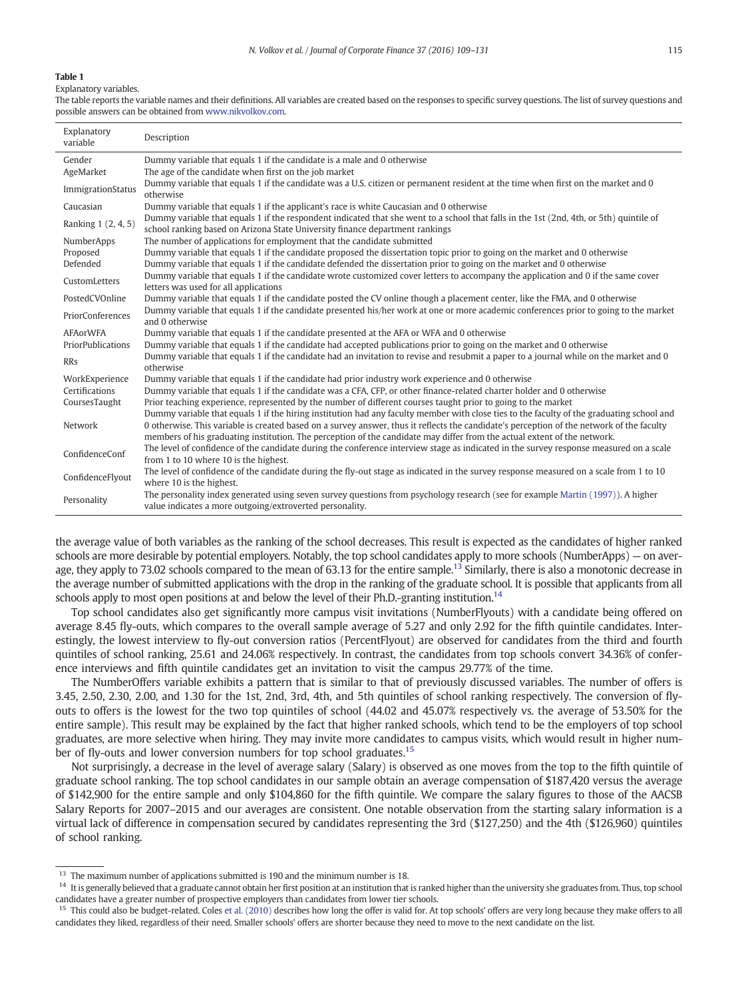#### <span id="page-6-0"></span>Explanatory variables.

The table reports the variable names and their definitions. All variables are created based on the responses to specific survey questions. The list of survey questions and possible answers can be obtained from www.nikvolkov.com

| Explanatory<br>variable  | Description                                                                                                                                                                                                             |
|--------------------------|-------------------------------------------------------------------------------------------------------------------------------------------------------------------------------------------------------------------------|
| Gender                   | Dummy variable that equals 1 if the candidate is a male and 0 otherwise                                                                                                                                                 |
| AgeMarket                | The age of the candidate when first on the job market                                                                                                                                                                   |
| ImmigrationStatus        | Dummy variable that equals 1 if the candidate was a U.S. citizen or permanent resident at the time when first on the market and 0<br>otherwise                                                                          |
| Caucasian                | Dummy variable that equals 1 if the applicant's race is white Caucasian and 0 otherwise                                                                                                                                 |
| Ranking 1 (2, 4, 5)      | Dummy variable that equals 1 if the respondent indicated that she went to a school that falls in the 1st (2nd, 4th, or 5th) quintile of<br>school ranking based on Arizona State University finance department rankings |
| NumberApps               | The number of applications for employment that the candidate submitted                                                                                                                                                  |
| Proposed                 | Dummy variable that equals 1 if the candidate proposed the dissertation topic prior to going on the market and 0 otherwise                                                                                              |
| Defended                 | Dummy variable that equals 1 if the candidate defended the dissertation prior to going on the market and 0 otherwise                                                                                                    |
| CustomLetters            | Dummy variable that equals 1 if the candidate wrote customized cover letters to accompany the application and 0 if the same cover<br>letters was used for all applications                                              |
| PostedCVOnline           | Dummy variable that equals 1 if the candidate posted the CV online though a placement center, like the FMA, and 0 otherwise                                                                                             |
| PriorConferences         | Dummy variable that equals 1 if the candidate presented his/her work at one or more academic conferences prior to going to the market<br>and 0 otherwise                                                                |
| <b>AFAorWFA</b>          | Dummy variable that equals 1 if the candidate presented at the AFA or WFA and 0 otherwise                                                                                                                               |
| <b>PriorPublications</b> | Dummy variable that equals 1 if the candidate had accepted publications prior to going on the market and 0 otherwise                                                                                                    |
| <b>RRs</b>               | Dummy variable that equals 1 if the candidate had an invitation to revise and resubmit a paper to a journal while on the market and 0<br>otherwise                                                                      |
| WorkExperience           | Dummy variable that equals 1 if the candidate had prior industry work experience and 0 otherwise                                                                                                                        |
| Certifications           | Dummy variable that equals 1 if the candidate was a CFA, CFP, or other finance-related charter holder and 0 otherwise                                                                                                   |
| CoursesTaught            | Prior teaching experience, represented by the number of different courses taught prior to going to the market                                                                                                           |
|                          | Dummy variable that equals 1 if the hiring institution had any faculty member with close ties to the faculty of the graduating school and                                                                               |
| Network                  | 0 otherwise. This variable is created based on a survey answer, thus it reflects the candidate's perception of the network of the faculty                                                                               |
|                          | members of his graduating institution. The perception of the candidate may differ from the actual extent of the network.                                                                                                |
| ConfidenceConf           | The level of confidence of the candidate during the conference interview stage as indicated in the survey response measured on a scale<br>from 1 to 10 where 10 is the highest.                                         |
| ConfidenceFlyout         | The level of confidence of the candidate during the fly-out stage as indicated in the survey response measured on a scale from 1 to 10<br>where 10 is the highest.                                                      |
| Personality              | The personality index generated using seven survey questions from psychology research (see for example Martin (1997)). A higher<br>value indicates a more outgoing/extroverted personality.                             |

the average value of both variables as the ranking of the school decreases. This result is expected as the candidates of higher ranked schools are more desirable by potential employers. Notably, the top school candidates apply to more schools (NumberApps) — on average, they apply to 73.02 schools compared to the mean of 63.13 for the entire sample.<sup>13</sup> Similarly, there is also a monotonic decrease in the average number of submitted applications with the drop in the ranking of the graduate school. It is possible that applicants from all schools apply to most open positions at and below the level of their Ph.D.-granting institution.<sup>14</sup>

Top school candidates also get significantly more campus visit invitations (NumberFlyouts) with a candidate being offered on average 8.45 fly-outs, which compares to the overall sample average of 5.27 and only 2.92 for the fifth quintile candidates. Interestingly, the lowest interview to fly-out conversion ratios (PercentFlyout) are observed for candidates from the third and fourth quintiles of school ranking, 25.61 and 24.06% respectively. In contrast, the candidates from top schools convert 34.36% of conference interviews and fifth quintile candidates get an invitation to visit the campus 29.77% of the time.

The NumberOffers variable exhibits a pattern that is similar to that of previously discussed variables. The number of offers is 3.45, 2.50, 2.30, 2.00, and 1.30 for the 1st, 2nd, 3rd, 4th, and 5th quintiles of school ranking respectively. The conversion of flyouts to offers is the lowest for the two top quintiles of school (44.02 and 45.07% respectively vs. the average of 53.50% for the entire sample). This result may be explained by the fact that higher ranked schools, which tend to be the employers of top school graduates, are more selective when hiring. They may invite more candidates to campus visits, which would result in higher number of fly-outs and lower conversion numbers for top school graduates.<sup>15</sup>

Not surprisingly, a decrease in the level of average salary (Salary) is observed as one moves from the top to the fifth quintile of graduate school ranking. The top school candidates in our sample obtain an average compensation of \$187,420 versus the average of \$142,900 for the entire sample and only \$104,860 for the fifth quintile. We compare the salary figures to those of the AACSB Salary Reports for 2007–2015 and our averages are consistent. One notable observation from the starting salary information is a virtual lack of difference in compensation secured by candidates representing the 3rd (\$127,250) and the 4th (\$126,960) quintiles of school ranking.

 $13$  The maximum number of applications submitted is 190 and the minimum number is 18.

<sup>&</sup>lt;sup>14</sup> It is generally believed that a graduate cannot obtain her first position at an institution that is ranked higher than the university she graduates from. Thus, top school candidates have a greater number of prospective employers than candidates from lower tier schools.

<sup>&</sup>lt;sup>15</sup> This could also be budget-related. Coles [et al. \(2010\)](#page-21-0) describes how long the offer is valid for. At top schools' offers are very long because they make offers to all candidates they liked, regardless of their need. Smaller schools' offers are shorter because they need to move to the next candidate on the list.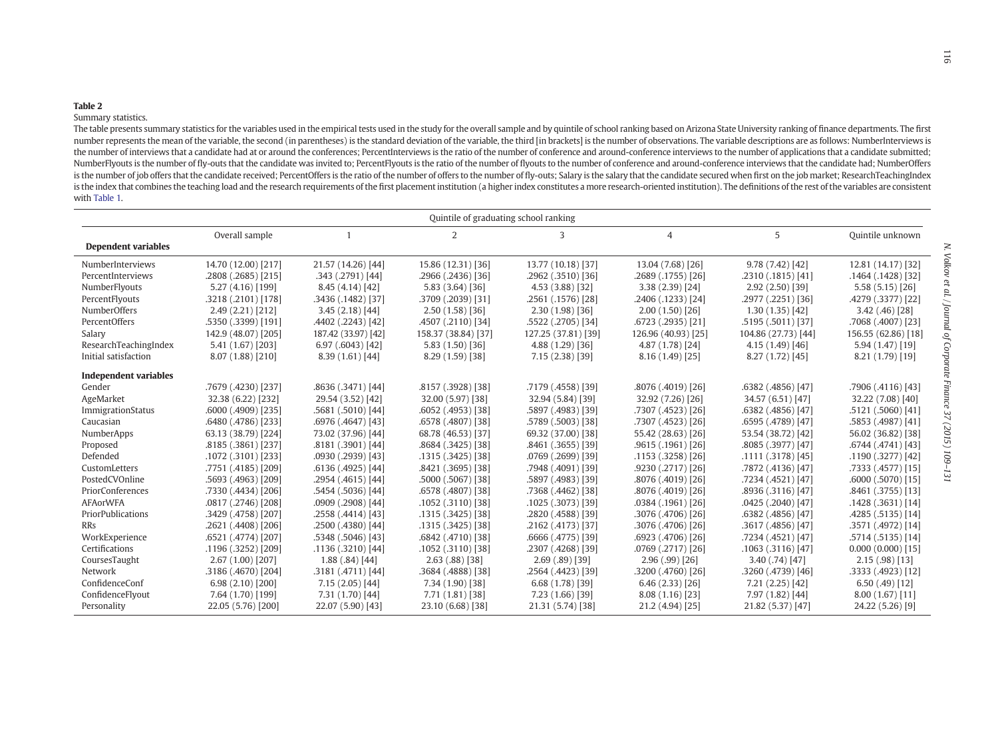#### <span id="page-7-0"></span>Summary statistics.

The table presents summary statistics for the variables used in the empirical tests used in the study for the overall sample and by quintile of school ranking based on Arizona State University ranking of finance department number represents the mean of the variable, the second (in parentheses) is the standard deviation of the variable, the third [in brackets] is the number of observations. The variable descriptions are as follows: NumberInte the number of interviews that a candidate had at or around the conferences; PercentInterviews is the ratio of the number of conference and around-conference interviews to the number of applications that a candidate submitt NumberFlyouts is the number of fly-outs that the candidate was invited to; PercentFlyouts is the ratio of the number of flyouts to the number of conference and around-conference interviews that the candidate had; NumberOff is the number of job offers that the candidate received; PercentOffers is the ratio of the number of offers to the number of fly-outs; Salary is the salary that the candidate secured when first on the job market; ResearchT is the index that combines the teaching load and the research requirements of the first placement institution (a higher index constitutes a more research-oriented institution). The definitions of the rest of the variables with [Table](#page-6-0) 1.

| Quintile of graduating school ranking |                     |                     |                     |                     |                     |                      |                     |  |  |  |
|---------------------------------------|---------------------|---------------------|---------------------|---------------------|---------------------|----------------------|---------------------|--|--|--|
|                                       | Overall sample      |                     | 2                   | 3                   | 4                   | 5                    | Ouintile unknown    |  |  |  |
| <b>Dependent variables</b>            |                     |                     |                     |                     |                     |                      |                     |  |  |  |
| NumberInterviews                      | 14.70 (12.00) [217] | 21.57 (14.26) [44]  | 15.86 (12.31) [36]  | 13.77 (10.18) [37]  | 13.04 (7.68) [26]   | 9.78(7.42)[42]       | 12.81 (14.17) [32]  |  |  |  |
| PercentInterviews                     | .2808 (.2685) [215] | .343 (.2791) [44]   | .2966 (.2436) [36]  | .2962 (.3510) [36]  | .2689 (.1755) [26]  | .2310 (.1815) [41]   | .1464 (.1428) [32]  |  |  |  |
| NumberFlyouts                         | 5.27 (4.16) [199]   | 8.45(4.14)[42]      | 5.83 (3.64) [36]    | 4.53 (3.88) [32]    | 3.38(2.39)[24]      | 2.92(2.50)[39]       | 5.58(5.15)[26]      |  |  |  |
| PercentFlyouts                        | .3218 (.2101) [178] | .3436 (.1482) [37]  | .3709 (.2039) [31]  | .2561 (.1576) [28]  | .2406 (.1233) [24]  | .2977 (.2251) [36]   | .4279 (.3377) [22]  |  |  |  |
| <b>NumberOffers</b>                   | 2.49(2.21)[212]     | 3.45(2.18)[44]      | 2.50(1.58)[36]      | 2.30(1.98)[36]      | 2.00(1.50)[26]      | 1.30(1.35)[42]       | $3.42(.46)$ [28]    |  |  |  |
| PercentOffers                         | .5350 (.3399) [191] | .4402 (.2243) [42]  | .4507 (.2110) [34]  | .5522 (.2705) [34]  | .6723 (.2935) [21]  | .5195 (.5011) [37]   | .7068 (.4007) [23]  |  |  |  |
| Salary                                | 142.9 (48.07) [205] | 187.42 (33.97) [42] | 158.37 (38.84) [37] | 127.25 (37.81) [39] | 126.96 (40.93) [25] | 104.86 (27.73) [44]  | 156.55 (62.86) [18] |  |  |  |
| ResearchTeachingIndex                 | 5.41 (1.67) [203]   | 6.97(.6043)[42]     | 5.83 (1.50) [36]    | 4.88 (1.29) [36]    | 4.87 (1.78) [24]    | 4.15(1.49)[46]       | 5.94 (1.47) [19]    |  |  |  |
| Initial satisfaction                  | 8.07 (1.88) [210]   | 8.39(1.61)[44]      | 8.29 (1.59) [38]    | 7.15 (2.38) [39]    | 8.16(1.49)[25]      | 8.27(1.72)[45]       | 8.21 (1.79) [19]    |  |  |  |
| <b>Independent variables</b>          |                     |                     |                     |                     |                     |                      |                     |  |  |  |
| Gender                                | .7679 (.4230) [237] | .8636 (.3471) [44]  | .8157 (.3928) [38]  | .7179 (.4558) [39]  | .8076 (.4019) [26]  | .6382 (.4856) [47]   | .7906 (.4116) [43]  |  |  |  |
| AgeMarket                             | 32.38 (6.22) [232]  | 29.54 (3.52) [42]   | 32.00 (5.97) [38]   | 32.94 (5.84) [39]   | 32.92 (7.26) [26]   | 34.57 (6.51) [47]    | 32.22 (7.08) [40]   |  |  |  |
| ImmigrationStatus                     | .6000 (.4909) [235] | .5681 (.5010) [44]  | .6052 (.4953) [38]  | .5897 (.4983) [39]  | [26] (4523).7307.   | .6382 (.4856) [47]   | .5121 (.5060) [41]  |  |  |  |
| Caucasian                             | .6480 (.4786) [233] | .6976 (.4647) [43]  | .6578 (.4807) [38]  | .5789 (.5003) [38]  | .7307 (.4523) [26]  | .6595 (.4789) [47]   | .5853 (.4987) [41]  |  |  |  |
| NumberApps                            | 63.13 (38.79) [224] | 73.02 (37.96) [44]  | 68.78 (46.53) [37]  | 69.32 (37.00) [38]  | 55.42 (28.63) [26]  | 53.54 (38.72) [42]   | 56.02 (36.82) [38]  |  |  |  |
| Proposed                              | .8185 (.3861) [237] | .8181 (.3901) [44]  | .8684 (.3425) [38]  | .8461 (.3655) [39]  | .9615 (.1961) [26]  | .8085 (.3977) [47]   | .6744 (.4741) [43]  |  |  |  |
| Defended                              | .1072 (.3101) [233] | .0930 (.2939) [43]  | .1315 (.3425) [38]  | .0769 (.2699) [39]  | .1153 (.3258) [26]  | .1111 (.3178) [45]   | .1190 (.3277) [42]  |  |  |  |
| CustomLetters                         | ,7751 (.4185) [209] | .6136 (.4925) [44]  | .8421 (.3695) [38]  | .7948 (.4091) [39]  | .9230 (.2717) [26]  | .7872 (.4136) [47]   | .7333 (.4577) [15]  |  |  |  |
| PostedCVOnline                        | .5693 (.4963) [209] | .2954 (.4615) [44]  | .5000 (.5067) [38]  | .5897 (.4983) [39]  | .8076 (.4019) [26]  | .7234 (.4521) [47]   | $.6000(.5070)$ [15] |  |  |  |
| PriorConferences                      | [206] (4434).7330   | .5454 (.5036) [44]  | .6578 (.4807) [38]  | .7368 (.4462) [38]  | .8076 (.4019) [26]  | .8936 (.3116) [47]   | .8461 (.3755) [13]  |  |  |  |
| <b>AFAorWFA</b>                       | .0817 (.2746) [208] | .0909 (.2908) [44]  | .1052 (.3110) [38]  | .1025 (.3073) [39]  | .0384 (.1961) [26]  | $.0425(.2040)$ [47]  | .1428(.3631)[14]    |  |  |  |
| PriorPublications                     | .3429 (.4758) [207] | .2558 (.4414) [43]  | .1315 (.3425) [38]  | .2820 (.4588) [39]  | .3076 (.4706) [26]  | .6382 (.4856) [47]   | .4285(.5135)[14]    |  |  |  |
| RRs                                   | .2621 (.4408) [206] | .2500 (.4380) [44]  | .1315 (.3425) [38]  | .2162 (.4173) [37]  | .3076 (.4706) [26]  | .3617 (.4856) [47]   | .3571 (.4972) [14]  |  |  |  |
| WorkExperience                        | .6521 (.4774) [207] | .5348 (.5046) [43]  | .6842 (.4710) [38]  | .6666 (.4775) [39]  | .6923 (.4706) [26]  | .7234 (.4521) [47]   | .5714 (.5135) [14]  |  |  |  |
| Certifications                        | .1196 (.3252) [209] | .1136 (.3210) [44]  | .1052 (.3110) [38]  | .2307 (.4268) [39]  | .0769 (.2717) [26]  | $.1063$ (.3116) [47] | 0.000(0.000)[15]    |  |  |  |
| CoursesTaught                         | 2.67 (1.00) [207]   | 1.88(.84)[44]       | $2.63(.88)$ [38]    | $2.69(.89)$ [39]    | $2.96(.99)$ [26]    | 3.40(.74)[47]        | $2.15(.98)$ [13]    |  |  |  |
| Network                               | .3186 (.4670) [204] | .3181 (.4711) [44]  | .3684 (.4888) [38]  | .2564 (.4423) [39]  | .3200 (.4760) [26]  | .3260 (.4739) [46]   | .3333 (.4923) [12]  |  |  |  |
| ConfidenceConf                        | 6.98 (2.10) [200]   | 7.15 (2.05) [44]    | 7.34 (1.90) [38]    | 6.68(1.78)[39]      | 6.46(2.33)[26]      | 7.21 (2.25) [42]     | 6.50(.49) [12]      |  |  |  |
| ConfidenceFlyout                      | 7.64 (1.70) [199]   | 7.31 (1.70) [44]    | 7.71 (1.81) [38]    | 7.23 (1.66) [39]    | 8.08(1.16)[23]      | 7.97 (1.82) [44]     | 8.00(1.67)[11]      |  |  |  |
| Personality                           | 22.05 (5.76) [200]  | 22.07 (5.90) [43]   | 23.10 (6.68) [38]   | 21.31 (5.74) [38]   | 21.2 (4.94) [25]    | 21.82 (5.37) [47]    | 24.22 (5.26) [9]    |  |  |  |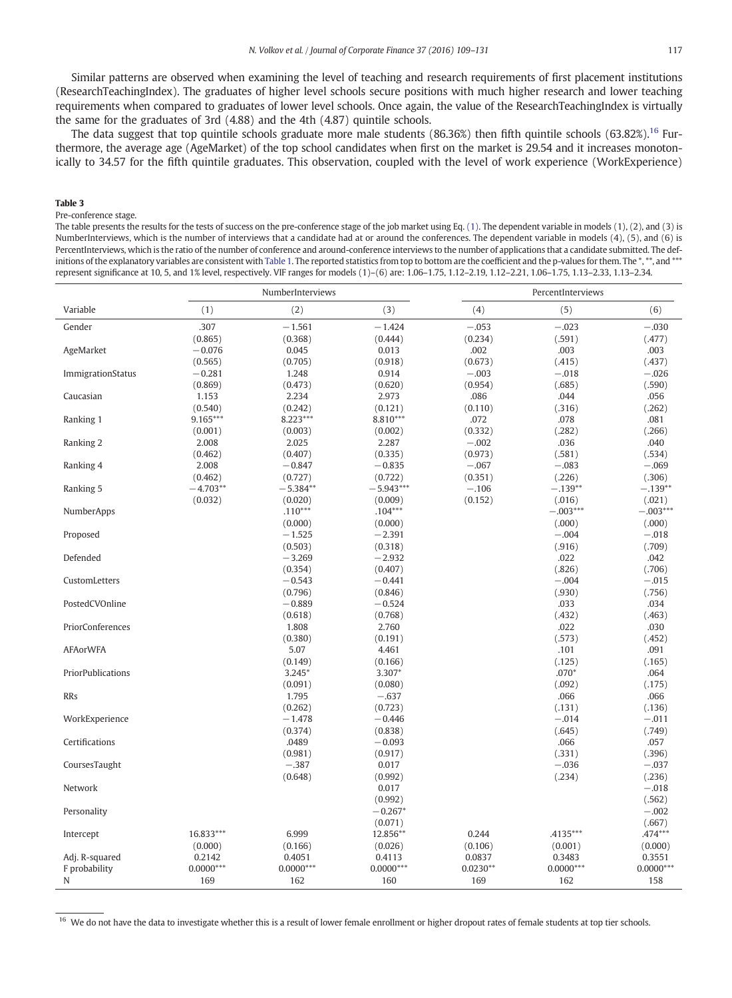<span id="page-8-0"></span>Similar patterns are observed when examining the level of teaching and research requirements of first placement institutions (ResearchTeachingIndex). The graduates of higher level schools secure positions with much higher research and lower teaching requirements when compared to graduates of lower level schools. Once again, the value of the ResearchTeachingIndex is virtually the same for the graduates of 3rd (4.88) and the 4th (4.87) quintile schools.

The data suggest that top quintile schools graduate more male students (86.36%) then fifth quintile schools (63.82%).<sup>16</sup> Furthermore, the average age (AgeMarket) of the top school candidates when first on the market is 29.54 and it increases monotonically to 34.57 for the fifth quintile graduates. This observation, coupled with the level of work experience (WorkExperience)

#### Table 3

#### Pre-conference stage.

The table presents the results for the tests of success on the pre-conference stage of the job market using Eq. [\(1\).](#page-5-0) The dependent variable in models (1), (2), and (3) is NumberInterviews, which is the number of interviews that a candidate had at or around the conferences. The dependent variable in models (4), (5), and (6) is PercentInterviews, which is the ratio of the number of conference and around-conference interviews to the number of applications that a candidate submitted. The def-initions of the explanatory variables are consistent with [Table 1.](#page-6-0) The reported statistics from top to bottom are the coefficient and the p-values for them. The \*, \*\*, and \*\*\* represent significance at 10, 5, and 1% level, respectively. VIF ranges for models (1)–(6) are: 1.06–1.75, 1.12–2.19, 1.12–2.21, 1.06–1.75, 1.13–2.33, 1.13–2.34.

|                   |             | NumberInterviews |             |            | PercentInterviews |             |
|-------------------|-------------|------------------|-------------|------------|-------------------|-------------|
| Variable          | (1)         | (2)              | (3)         | (4)        | (5)               | (6)         |
| Gender            | .307        | $-1.561$         | $-1.424$    | $-.053$    | $-.023$           | $-.030$     |
|                   | (0.865)     | (0.368)          | (0.444)     | (0.234)    | (.591)            | (.477)      |
| AgeMarket         | $-0.076$    | 0.045            | 0.013       | .002       | .003              | .003        |
|                   | (0.565)     | (0.705)          | (0.918)     | (0.673)    | (.415)            | (.437)      |
| ImmigrationStatus | $-0.281$    | 1.248            | 0.914       | $-.003$    | $-.018$           | $-.026$     |
|                   | (0.869)     | (0.473)          | (0.620)     | (0.954)    | (.685)            | (.590)      |
| Caucasian         | 1.153       | 2.234            | 2.973       | .086       | .044              | .056        |
|                   | (0.540)     | (0.242)          | (0.121)     | (0.110)    | (.316)            | (.262)      |
| Ranking 1         | 9.165***    | 8.223***         | 8.810***    | .072       | .078              | .081        |
|                   | (0.001)     | (0.003)          | (0.002)     | (0.332)    | (.282)            | (.266)      |
| Ranking 2         | 2.008       | 2.025            | 2.287       | $-.002$    | .036              | .040        |
|                   | (0.462)     | (0.407)          | (0.335)     | (0.973)    | (.581)            | (.534)      |
| Ranking 4         | 2.008       | $-0.847$         | $-0.835$    | $-.067$    | $-.083$           | $-.069$     |
|                   | (0.462)     | (0.727)          | (0.722)     | (0.351)    | (.226)            | (.306)      |
| Ranking 5         | $-4.703**$  | $-5.384**$       | $-5.943***$ | $-.106$    | $-.139**$         | $-.139**$   |
|                   | (0.032)     | (0.020)          | (0.009)     | (0.152)    | (.016)            | (.021)      |
| NumberApps        |             | $.110***$        | $.104***$   |            | $-.003***$        | $-.003***$  |
|                   |             | (0.000)          | (0.000)     |            | (.000)            | (.000)      |
| Proposed          |             | $-1.525$         | $-2.391$    |            | $-.004$           | $-.018$     |
|                   |             | (0.503)          | (0.318)     |            | (.916)            | (.709)      |
| Defended          |             | $-3.269$         | $-2.932$    |            | .022              | .042        |
|                   |             | (0.354)          | (0.407)     |            | (.826)            | (.706)      |
| CustomLetters     |             | $-0.543$         | $-0.441$    |            | $-.004$           | $-.015$     |
|                   |             | (0.796)          | (0.846)     |            | (.930)            | (.756)      |
| PostedCVOnline    |             | $-0.889$         | $-0.524$    |            | .033              | .034        |
|                   |             | (0.618)          | (0.768)     |            | (.432)            | (.463)      |
| PriorConferences  |             | 1.808            | 2.760       |            | .022              | .030        |
|                   |             | (0.380)          | (0.191)     |            | (.573)            | (.452)      |
| <b>AFAorWFA</b>   |             | 5.07             | 4.461       |            | .101              | .091        |
|                   |             | (0.149)          | (0.166)     |            | (.125)            | (.165)      |
| PriorPublications |             | $3.245*$         | $3.307*$    |            | $.070*$           | .064        |
|                   |             | (0.091)          | (0.080)     |            | (.092)            | (.175)      |
| <b>RRs</b>        |             | 1.795            | $-.637$     |            | .066              | .066        |
|                   |             | (0.262)          | (0.723)     |            | (.131)            | (.136)      |
| WorkExperience    |             | $-1.478$         | $-0.446$    |            | $-.014$           | $-.011$     |
|                   |             | (0.374)          | (0.838)     |            | (.645)            | (.749)      |
| Certifications    |             | .0489            | $-0.093$    |            | .066              | .057        |
|                   |             | (0.981)          | (0.917)     |            | (.331)            | (.396)      |
| CoursesTaught     |             | $-.387$          | 0.017       |            | $-.036$           | $-.037$     |
|                   |             | (0.648)          | (0.992)     |            | (.234)            | (.236)      |
| Network           |             |                  | 0.017       |            |                   | $-.018$     |
|                   |             |                  | (0.992)     |            |                   | (.562)      |
| Personality       |             |                  | $-0.267*$   |            |                   | $-.002$     |
|                   |             |                  | (0.071)     |            |                   | (.667)      |
| Intercept         | 16.833***   | 6.999            | 12.856**    | 0.244      | $.4135***$        | .474***     |
|                   | (0.000)     | (0.166)          | (0.026)     | (0.106)    | (0.001)           | (0.000)     |
| Adj. R-squared    | 0.2142      | 0.4051           | 0.4113      | 0.0837     | 0.3483            | 0.3551      |
| F probability     | $0.0000***$ | $0.0000***$      | $0.0000***$ | $0.0230**$ | $0.0000***$       | $0.0000***$ |
| N                 | 169         | 162              | 160         | 169        | 162               | 158         |

<sup>16</sup> We do not have the data to investigate whether this is a result of lower female enrollment or higher dropout rates of female students at top tier schools.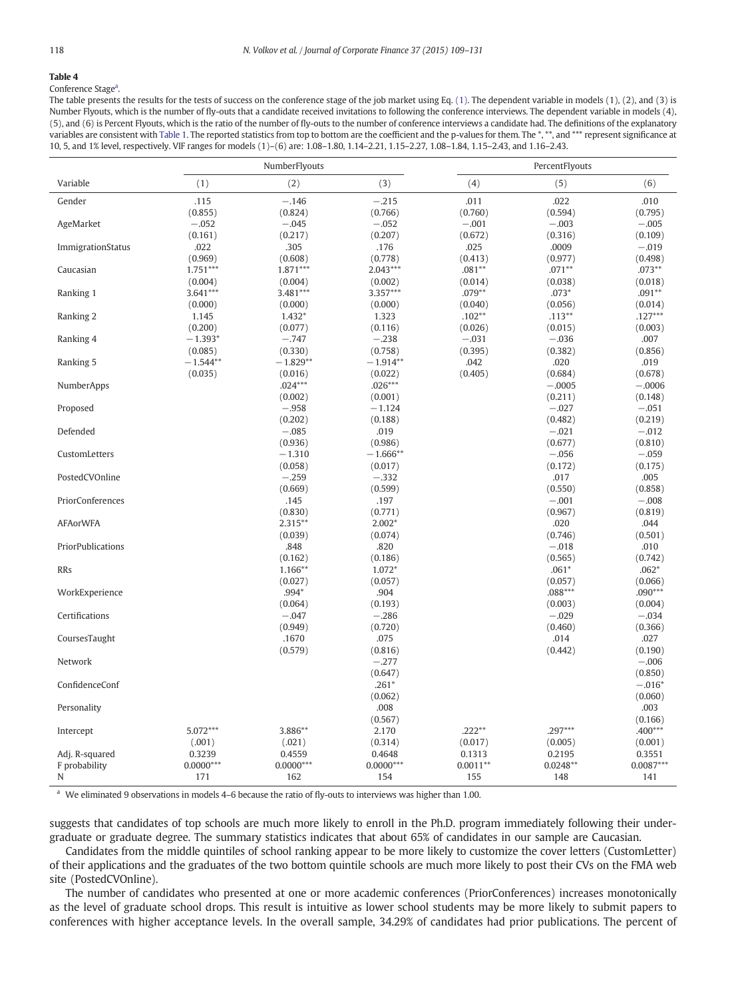<span id="page-9-0"></span>Conference Stage<sup>a</sup>.

The table presents the results for the tests of success on the conference stage of the job market using Eq. [\(1\).](#page-5-0) The dependent variable in models (1), (2), and (3) is Number Flyouts, which is the number of fly-outs that a candidate received invitations to following the conference interviews. The dependent variable in models (4), (5), and (6) is Percent Flyouts, which is the ratio of the number of fly-outs to the number of conference interviews a candidate had. The definitions of the explanatory variables are consistent with [Table 1.](#page-6-0) The reported statistics from top to bottom are the coefficient and the p-values for them. The \*, \*\*, and \*\*\* represent significance at 10, 5, and 1% level, respectively. VIF ranges for models (1)–(6) are: 1.08–1.80, 1.14–2.21, 1.15–2.27, 1.08–1.84, 1.15–2.43, and 1.16–2.43.

|                   | NumberFlyouts |             |             | PercentFlyouts |            |             |
|-------------------|---------------|-------------|-------------|----------------|------------|-------------|
| Variable          | (1)           | (2)         | (3)         | (4)            | (5)        | (6)         |
| Gender            | .115          | $-.146$     | $-.215$     | .011           | .022       | .010        |
|                   | (0.855)       | (0.824)     | (0.766)     | (0.760)        | (0.594)    | (0.795)     |
| AgeMarket         | $-.052$       | $-.045$     | $-.052$     | $-.001$        | $-.003$    | $-.005$     |
|                   | (0.161)       | (0.217)     | (0.207)     | (0.672)        | (0.316)    | (0.109)     |
| ImmigrationStatus | .022          | .305        | .176        | .025           | .0009      | $-.019$     |
|                   | (0.969)       | (0.608)     | (0.778)     | (0.413)        | (0.977)    | (0.498)     |
| Caucasian         | $1.751***$    | 1.871***    | $2.043***$  | $.081**$       | $.071**$   | $.073**$    |
|                   | (0.004)       | (0.004)     | (0.002)     | (0.014)        | (0.038)    | (0.018)     |
| Ranking 1         | $3.641***$    | $3.481***$  | 3.357***    | $.079**$       | $.073*$    | $.091**$    |
|                   | (0.000)       | (0.000)     | (0.000)     | (0.040)        | (0.056)    | (0.014)     |
| Ranking 2         | 1.145         | $1.432*$    | 1.323       | $.102**$       | $.113**$   | $.127***$   |
|                   | (0.200)       | (0.077)     | (0.116)     | (0.026)        | (0.015)    | (0.003)     |
| Ranking 4         | $-1.393*$     | $-.747$     | $-.238$     | $-.031$        | $-.036$    | .007        |
|                   | (0.085)       | (0.330)     | (0.758)     | (0.395)        | (0.382)    | (0.856)     |
| Ranking 5         | $-1.544**$    | $-1.829**$  | $-1.914**$  | .042           | .020       | .019        |
|                   | (0.035)       | (0.016)     | (0.022)     | (0.405)        | (0.684)    | (0.678)     |
| NumberApps        |               | $.024***$   | $.026***$   |                | $-.0005$   | $-.0006$    |
|                   |               | (0.002)     | (0.001)     |                | (0.211)    | (0.148)     |
| Proposed          |               | $-.958$     | $-1.124$    |                | $-.027$    | $-.051$     |
|                   |               | (0.202)     | (0.188)     |                | (0.482)    | (0.219)     |
| Defended          |               | $-.085$     | .019        |                | $-.021$    | $-.012$     |
|                   |               | (0.936)     | (0.986)     |                | (0.677)    | (0.810)     |
| CustomLetters     |               | $-1.310$    | $-1.666**$  |                | $-.056$    | $-.059$     |
|                   |               | (0.058)     | (0.017)     |                | (0.172)    | (0.175)     |
| PostedCVOnline    |               | $-.259$     | $-.332$     |                | .017       | .005        |
|                   |               | (0.669)     | (0.599)     |                | (0.550)    | (0.858)     |
| PriorConferences  |               | .145        | .197        |                | $-.001$    | $-.008$     |
|                   |               | (0.830)     | (0.771)     |                | (0.967)    | (0.819)     |
| <b>AFAorWFA</b>   |               | $2.315***$  | $2.002*$    |                | .020       | .044        |
|                   |               | (0.039)     | (0.074)     |                | (0.746)    | (0.501)     |
| PriorPublications |               | .848        | .820        |                | $-.018$    | .010        |
|                   |               | (0.162)     | (0.186)     |                | (0.565)    | (0.742)     |
| <b>RRs</b>        |               | 1.166**     | 1.072*      |                | $.061*$    | $.062*$     |
|                   |               | (0.027)     | (0.057)     |                | (0.057)    | (0.066)     |
| WorkExperience    |               | .994*       | .904        |                | $.088***$  | $.090***$   |
|                   |               | (0.064)     | (0.193)     |                | (0.003)    | (0.004)     |
| Certifications    |               | $-.047$     | $-.286$     |                | $-.029$    | $-.034$     |
|                   |               | (0.949)     | (0.720)     |                | (0.460)    | (0.366)     |
| CoursesTaught     |               | .1670       | .075        |                | .014       | .027        |
|                   |               | (0.579)     | (0.816)     |                | (0.442)    | (0.190)     |
| Network           |               |             | $-.277$     |                |            | $-.006$     |
|                   |               |             | (0.647)     |                |            | (0.850)     |
| ConfidenceConf    |               |             | $.261*$     |                |            | $-.016*$    |
|                   |               |             | (0.062)     |                |            | (0.060)     |
| Personality       |               |             | .008        |                |            | .003        |
|                   |               |             | (0.567)     |                |            | (0.166)     |
| Intercept         | 5.072***      | 3.886**     | 2.170       | $.222**$       | $.297***$  | .400***     |
|                   | (.001)        | (.021)      | (0.314)     | (0.017)        | (0.005)    | (0.001)     |
| Adj. R-squared    | 0.3239        | 0.4559      | 0.4648      | 0.1313         | 0.2195     | 0.3551      |
| F probability     | $0.0000***$   | $0.0000***$ | $0.0000***$ | $0.0011**$     | $0.0248**$ | $0.0087***$ |
| N                 | 171           | 162         | 154         | 155            | 148        | 141         |

<sup>a</sup> We eliminated 9 observations in models 4–6 because the ratio of fly-outs to interviews was higher than 1.00.

suggests that candidates of top schools are much more likely to enroll in the Ph.D. program immediately following their undergraduate or graduate degree. The summary statistics indicates that about 65% of candidates in our sample are Caucasian.

Candidates from the middle quintiles of school ranking appear to be more likely to customize the cover letters (CustomLetter) of their applications and the graduates of the two bottom quintile schools are much more likely to post their CVs on the FMA web site (PostedCVOnline).

The number of candidates who presented at one or more academic conferences (PriorConferences) increases monotonically as the level of graduate school drops. This result is intuitive as lower school students may be more likely to submit papers to conferences with higher acceptance levels. In the overall sample, 34.29% of candidates had prior publications. The percent of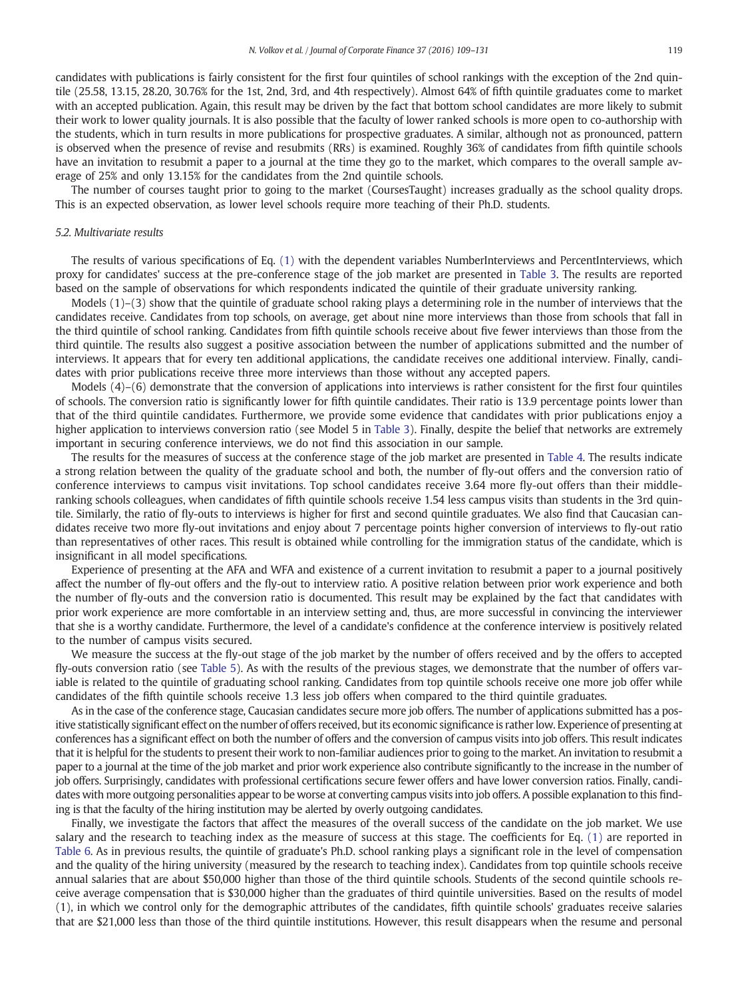<span id="page-10-0"></span>candidates with publications is fairly consistent for the first four quintiles of school rankings with the exception of the 2nd quintile (25.58, 13.15, 28.20, 30.76% for the 1st, 2nd, 3rd, and 4th respectively). Almost 64% of fifth quintile graduates come to market with an accepted publication. Again, this result may be driven by the fact that bottom school candidates are more likely to submit their work to lower quality journals. It is also possible that the faculty of lower ranked schools is more open to co-authorship with the students, which in turn results in more publications for prospective graduates. A similar, although not as pronounced, pattern is observed when the presence of revise and resubmits (RRs) is examined. Roughly 36% of candidates from fifth quintile schools have an invitation to resubmit a paper to a journal at the time they go to the market, which compares to the overall sample average of 25% and only 13.15% for the candidates from the 2nd quintile schools.

The number of courses taught prior to going to the market (CoursesTaught) increases gradually as the school quality drops. This is an expected observation, as lower level schools require more teaching of their Ph.D. students.

#### 5.2. Multivariate results

The results of various specifications of Eq. [\(1\)](#page-5-0) with the dependent variables NumberInterviews and PercentInterviews, which proxy for candidates' success at the pre-conference stage of the job market are presented in [Table 3.](#page-8-0) The results are reported based on the sample of observations for which respondents indicated the quintile of their graduate university ranking.

Models (1)–(3) show that the quintile of graduate school raking plays a determining role in the number of interviews that the candidates receive. Candidates from top schools, on average, get about nine more interviews than those from schools that fall in the third quintile of school ranking. Candidates from fifth quintile schools receive about five fewer interviews than those from the third quintile. The results also suggest a positive association between the number of applications submitted and the number of interviews. It appears that for every ten additional applications, the candidate receives one additional interview. Finally, candidates with prior publications receive three more interviews than those without any accepted papers.

Models (4)–(6) demonstrate that the conversion of applications into interviews is rather consistent for the first four quintiles of schools. The conversion ratio is significantly lower for fifth quintile candidates. Their ratio is 13.9 percentage points lower than that of the third quintile candidates. Furthermore, we provide some evidence that candidates with prior publications enjoy a higher application to interviews conversion ratio (see Model 5 in [Table 3\)](#page-8-0). Finally, despite the belief that networks are extremely important in securing conference interviews, we do not find this association in our sample.

The results for the measures of success at the conference stage of the job market are presented in [Table 4](#page-9-0). The results indicate a strong relation between the quality of the graduate school and both, the number of fly-out offers and the conversion ratio of conference interviews to campus visit invitations. Top school candidates receive 3.64 more fly-out offers than their middleranking schools colleagues, when candidates of fifth quintile schools receive 1.54 less campus visits than students in the 3rd quintile. Similarly, the ratio of fly-outs to interviews is higher for first and second quintile graduates. We also find that Caucasian candidates receive two more fly-out invitations and enjoy about 7 percentage points higher conversion of interviews to fly-out ratio than representatives of other races. This result is obtained while controlling for the immigration status of the candidate, which is insignificant in all model specifications.

Experience of presenting at the AFA and WFA and existence of a current invitation to resubmit a paper to a journal positively affect the number of fly-out offers and the fly-out to interview ratio. A positive relation between prior work experience and both the number of fly-outs and the conversion ratio is documented. This result may be explained by the fact that candidates with prior work experience are more comfortable in an interview setting and, thus, are more successful in convincing the interviewer that she is a worthy candidate. Furthermore, the level of a candidate's confidence at the conference interview is positively related to the number of campus visits secured.

We measure the success at the fly-out stage of the job market by the number of offers received and by the offers to accepted fly-outs conversion ratio (see [Table 5\)](#page-11-0). As with the results of the previous stages, we demonstrate that the number of offers variable is related to the quintile of graduating school ranking. Candidates from top quintile schools receive one more job offer while candidates of the fifth quintile schools receive 1.3 less job offers when compared to the third quintile graduates.

As in the case of the conference stage, Caucasian candidates secure more job offers. The number of applications submitted has a positive statistically significant effect on the number of offers received, but its economic significance is rather low. Experience of presenting at conferences has a significant effect on both the number of offers and the conversion of campus visits into job offers. This result indicates that it is helpful for the students to present their work to non-familiar audiences prior to going to the market. An invitation to resubmit a paper to a journal at the time of the job market and prior work experience also contribute significantly to the increase in the number of job offers. Surprisingly, candidates with professional certifications secure fewer offers and have lower conversion ratios. Finally, candidates with more outgoing personalities appear to be worse at converting campus visits into job offers. A possible explanation to this finding is that the faculty of the hiring institution may be alerted by overly outgoing candidates.

Finally, we investigate the factors that affect the measures of the overall success of the candidate on the job market. We use salary and the research to teaching index as the measure of success at this stage. The coefficients for Eq. [\(1\)](#page-5-0) are reported in [Table 6](#page-12-0). As in previous results, the quintile of graduate's Ph.D. school ranking plays a significant role in the level of compensation and the quality of the hiring university (measured by the research to teaching index). Candidates from top quintile schools receive annual salaries that are about \$50,000 higher than those of the third quintile schools. Students of the second quintile schools receive average compensation that is \$30,000 higher than the graduates of third quintile universities. Based on the results of model (1), in which we control only for the demographic attributes of the candidates, fifth quintile schools' graduates receive salaries that are \$21,000 less than those of the third quintile institutions. However, this result disappears when the resume and personal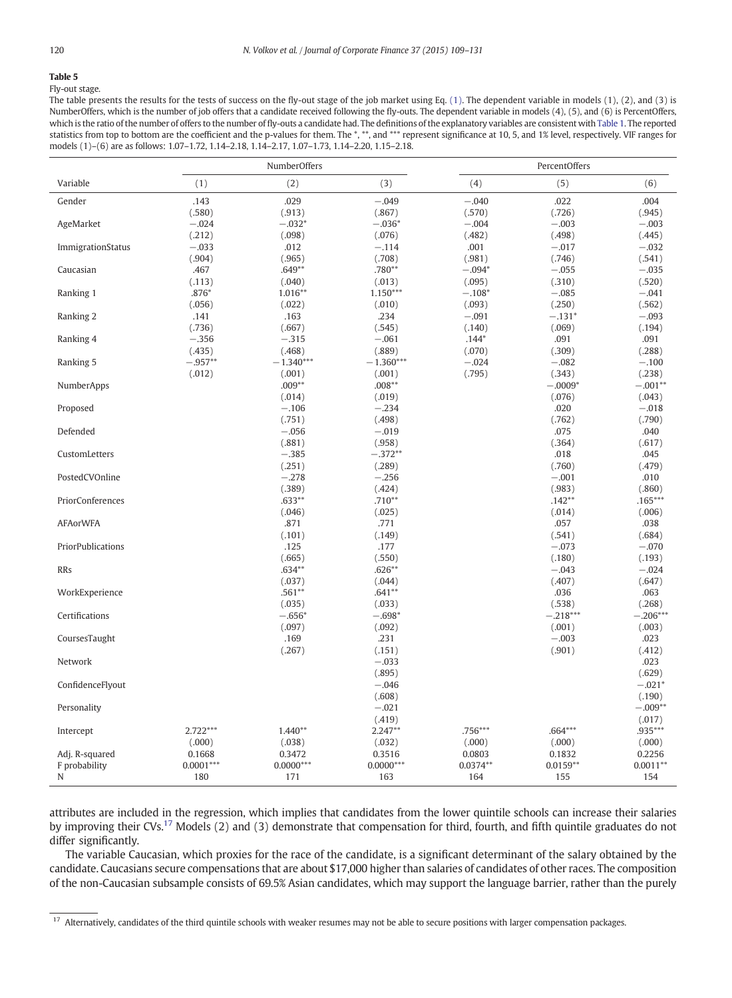<span id="page-11-0"></span>Fly-out stage.

The table presents the results for the tests of success on the fly-out stage of the job market using Eq. [\(1\).](#page-5-0) The dependent variable in models (1), (2), and (3) is NumberOffers, which is the number of job offers that a candidate received following the fly-outs. The dependent variable in models (4), (5), and (6) is PercentOffers, which is the ratio of the number of offers to the number of fly-outs a candidate had. The definitions of the explanatory variables are consistent with [Table 1](#page-6-0). The reported statistics from top to bottom are the coefficient and the p-values for them. The \*, \*\*, and \*\*\* represent significance at 10, 5, and 1% level, respectively. VIF ranges for models (1)–(6) are as follows: 1.07–1.72, 1.14–2.18, 1.14–2.17, 1.07–1.73, 1.14–2.20, 1.15–2.18.

|                   |             | NumberOffers |             |            | PercentOffers |            |
|-------------------|-------------|--------------|-------------|------------|---------------|------------|
| Variable          | (1)         | (2)          | (3)         | (4)        | (5)           | (6)        |
| Gender            | .143        | .029         | $-.049$     | $-.040$    | .022          | .004       |
|                   | (.580)      | (.913)       | (.867)      | (.570)     | (.726)        | (.945)     |
| AgeMarket         | $-.024$     | $-.032*$     | $-.036*$    | $-.004$    | $-.003$       | $-.003$    |
|                   | (.212)      | (.098)       | (.076)      | (.482)     | (.498)        | (.445)     |
| ImmigrationStatus | $-.033$     | .012         | $-.114$     | .001       | $-.017$       | $-.032$    |
|                   | (.904)      | (.965)       | (.708)      | (.981)     | (.746)        | (.541)     |
| Caucasian         | .467        | $.649**$     | .780**      | $-.094*$   | $-.055$       | $-.035$    |
|                   | (.113)      | (.040)       | (.013)      | (.095)     | (.310)        | (.520)     |
| Ranking 1         | $.876*$     | $1.016**$    | $1.150***$  | $-.108*$   | $-.085$       | $-.041$    |
|                   | (.056)      | (.022)       | (.010)      | (.093)     | (.250)        | (.562)     |
| Ranking 2         | .141        | .163         | .234        | $-.091$    | $-.131*$      | $-.093$    |
|                   | (.736)      | (.667)       | (.545)      | (.140)     | (.069)        | (.194)     |
| Ranking 4         | $-.356$     | $-.315$      | $-.061$     | $.144*$    | .091          | .091       |
|                   | (.435)      | (.468)       | (.889)      | (.070)     | (.309)        | (.288)     |
| Ranking 5         | $-.957**$   | $-1.340***$  | $-1.360***$ | $-.024$    | $-.082$       | $-.100$    |
|                   | (.012)      | (.001)       | (.001)      | (.795)     | (.343)        | (.238)     |
| NumberApps        |             | $.009**$     | $.008**$    |            | $-.0009*$     | $-.001**$  |
|                   |             | (.014)       | (.019)      |            | (.076)        | (.043)     |
| Proposed          |             | $-.106$      | $-.234$     |            | .020          | $-.018$    |
|                   |             | (.751)       | (.498)      |            | (.762)        | (.790)     |
| Defended          |             | $-.056$      | $-.019$     |            | .075          | .040       |
|                   |             | (.881)       | (.958)      |            | (.364)        | (.617)     |
| CustomLetters     |             | $-.385$      | $-.372**$   |            | .018          | .045       |
|                   |             | (.251)       | (.289)      |            | (.760)        | (.479)     |
| PostedCVOnline    |             | $-.278$      | $-.256$     |            | $-.001$       | .010       |
|                   |             | (.389)       | (.424)      |            | (.983)        | (.860)     |
| PriorConferences  |             | $.633**$     | $.710**$    |            | $.142**$      | $.165***$  |
|                   |             | (.046)       | (.025)      |            | (.014)        | (.006)     |
| <b>AFAorWFA</b>   |             | .871         | .771        |            | .057          | .038       |
|                   |             | (.101)       | (.149)      |            | (.541)        | (.684)     |
| PriorPublications |             | .125         | .177        |            | $-.073$       | $-.070$    |
|                   |             | (.665)       | (.550)      |            | (.180)        | (.193)     |
| <b>RRs</b>        |             | $.634**$     | $.626**$    |            | $-.043$       | $-.024$    |
|                   |             | (.037)       | (.044)      |            | (.407)        | (.647)     |
| WorkExperience    |             | $.561**$     | $.641**$    |            | .036          | .063       |
|                   |             | (.035)       | (.033)      |            | (.538)        | (.268)     |
| Certifications    |             | $-.656*$     | $-.698*$    |            | $-.218***$    | $-.206***$ |
|                   |             | (.097)       | (.092)      |            | (.001)        | (.003)     |
| CoursesTaught     |             | .169         | .231        |            | $-.003$       | .023       |
|                   |             | (.267)       | (.151)      |            | (.901)        | (.412)     |
| Network           |             |              | $-.033$     |            |               | .023       |
|                   |             |              | (.895)      |            |               | (.629)     |
| ConfidenceFlyout  |             |              | $-.046$     |            |               | $-.021*$   |
|                   |             |              | (.608)      |            |               | (.190)     |
| Personality       |             |              | $-.021$     |            |               | $-.009**$  |
|                   |             |              | (.419)      |            |               | (.017)     |
| Intercept         | 2.722***    | $1.440**$    | $2.247**$   | $.756***$  | $.664***$     | .935***    |
|                   | (.000)      | (.038)       | (.032)      | (.000)     | (.000)        | (.000)     |
| Adj. R-squared    | 0.1668      | 0.3472       | 0.3516      | 0.0803     | 0.1832        | 0.2256     |
| F probability     | $0.0001***$ | $0.0000***$  | $0.0000***$ | $0.0374**$ | $0.0159**$    | $0.0011**$ |
| N                 | 180         | 171          | 163         | 164        | 155           | 154        |
|                   |             |              |             |            |               |            |

attributes are included in the regression, which implies that candidates from the lower quintile schools can increase their salaries by improving their CVs.<sup>17</sup> Models (2) and (3) demonstrate that compensation for third, fourth, and fifth quintile graduates do not differ significantly.

The variable Caucasian, which proxies for the race of the candidate, is a significant determinant of the salary obtained by the candidate. Caucasians secure compensations that are about \$17,000 higher than salaries of candidates of other races. The composition of the non-Caucasian subsample consists of 69.5% Asian candidates, which may support the language barrier, rather than the purely

<sup>17</sup> Alternatively, candidates of the third quintile schools with weaker resumes may not be able to secure positions with larger compensation packages.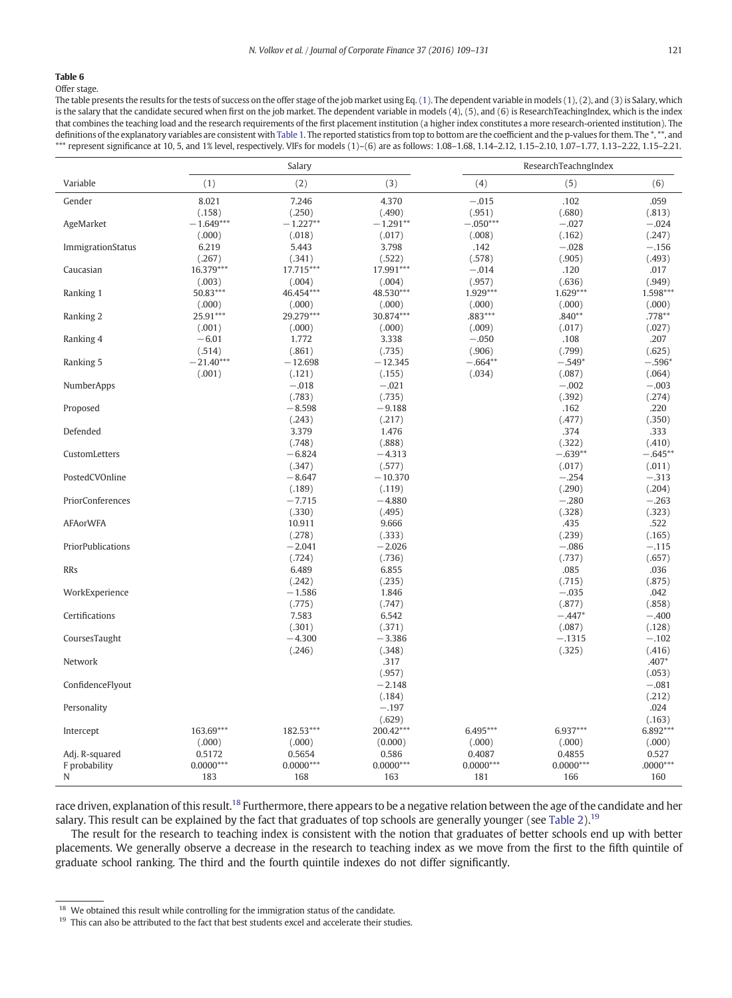<span id="page-12-0"></span>Offer stage.

The table presents the results for the tests of success on the offer stage of the job market using Eq. [\(1\)](#page-5-0). The dependent variable in models (1), (2), and (3) is Salary, which is the salary that the candidate secured when first on the job market. The dependent variable in models (4), (5), and (6) is ResearchTeachingIndex, which is the index that combines the teaching load and the research requirements of the first placement institution (a higher index constitutes a more research-oriented institution). The definitions of the explanatory variables are consistent with [Table 1.](#page-6-0) The reported statistics from top to bottom are the coefficient and the p-values for them. The \*,\*\*, and \*\*\* represent significance at 10, 5, and 1% level, respectively. VIFs for models (1)-(6) are as follows: 1.08-1.68, 1.14-2.12, 1.15-2.10, 1.07-1.77, 1.13-2.22, 1.15-2.21.

|                   |             | Salary      |             |             | ResearchTeachngIndex |            |
|-------------------|-------------|-------------|-------------|-------------|----------------------|------------|
| Variable          | (1)         | (2)         | (3)         | (4)         | (5)                  | (6)        |
| Gender            | 8.021       | 7.246       | 4.370       | $-.015$     | .102                 | .059       |
|                   | (.158)      | (.250)      | (.490)      | (.951)      | (.680)               | (.813)     |
| AgeMarket         | $-1.649***$ | $-1.227**$  | $-1.291**$  | $-.050***$  | $-.027$              | $-.024$    |
|                   | (.000)      | (.018)      | (.017)      | (.008)      | (.162)               | (.247)     |
| ImmigrationStatus | 6.219       | 5.443       | 3.798       | .142        | $-.028$              | $-.156$    |
|                   | (.267)      | (.341)      | (.522)      | (.578)      | (.905)               | (.493)     |
| Caucasian         | 16.379***   | 17.715***   | 17.991***   | $-.014$     | .120                 | .017       |
|                   | (.003)      | (.004)      | (.004)      | (.957)      | (.636)               | (.949)     |
| Ranking 1         | 50.83***    | 46.454***   | 48.530***   | 1.929***    | 1.629***             | 1.598***   |
|                   | (.000)      | (.000)      | (.000)      | (.000)      | (.000)               | (.000)     |
| Ranking 2         | 25.91***    | 29.279***   | 30.874***   | .883***     | $.840**$             | .778**     |
|                   | (.001)      | (.000)      | (.000)      | (.009)      | (.017)               | (.027)     |
| Ranking 4         | $-6.01$     | 1.772       | 3.338       | $-.050$     | .108                 | .207       |
|                   | (.514)      | (.861)      | (.735)      | (.906)      | (.799)               | (.625)     |
| Ranking 5         | $-21.40***$ | $-12.698$   | $-12.345$   | $-.664**$   | $-.549*$             | $-.596*$   |
|                   | (.001)      | (.121)      | (.155)      | (.034)      | (.087)               | (.064)     |
| <b>NumberApps</b> |             | $-.018$     | $-.021$     |             | $-.002$              | $-.003$    |
|                   |             | (.783)      | (.735)      |             | (.392)               | (.274)     |
| Proposed          |             | $-8.598$    | $-9.188$    |             | .162                 | .220       |
|                   |             | (.243)      | (.217)      |             | (.477)               | (.350)     |
| Defended          |             | 3.379       | 1.476       |             | .374                 | .333       |
|                   |             | (.748)      | (.888)      |             | (.322)               | (.410)     |
| CustomLetters     |             | $-6.824$    | $-4.313$    |             | $-.639**$            | $-.645**$  |
|                   |             | (.347)      | (.577)      |             | (.017)               | (.011)     |
| PostedCVOnline    |             | $-8.647$    | $-10.370$   |             | $-.254$              | $-.313$    |
|                   |             | (.189)      | (.119)      |             | (.290)               | (.204)     |
| PriorConferences  |             | $-7.715$    | $-4.880$    |             | $-.280$              | $-.263$    |
|                   |             | (.330)      | (.495)      |             | (.328)               | (.323)     |
| <b>AFAorWFA</b>   |             | 10.911      | 9.666       |             | .435                 | .522       |
|                   |             | (.278)      | (.333)      |             | (.239)               | (.165)     |
| PriorPublications |             | $-2.041$    | $-2.026$    |             | $-.086$              | $-.115$    |
|                   |             | (.724)      | (.736)      |             | (.737)               | (.657)     |
| <b>RRs</b>        |             | 6.489       | 6.855       |             | .085                 | .036       |
|                   |             | (.242)      | (.235)      |             | (.715)               | (.875)     |
| WorkExperience    |             | $-1.586$    | 1.846       |             | $-.035$              | .042       |
|                   |             | (.775)      | (.747)      |             | (.877)               | (.858)     |
| Certifications    |             | 7.583       | 6.542       |             | $-.447*$             | $-.400$    |
|                   |             | (.301)      | (.371)      |             | (.087)               | (.128)     |
| CoursesTaught     |             | $-4.300$    | $-3.386$    |             | $-.1315$             | $-.102$    |
|                   |             | (.246)      | (.348)      |             | (.325)               | (.416)     |
| Network           |             |             | .317        |             |                      | $.407*$    |
|                   |             |             | (.957)      |             |                      | (.053)     |
| ConfidenceFlyout  |             |             | $-2.148$    |             |                      | $-.081$    |
|                   |             |             | (.184)      |             |                      | (.212)     |
| Personality       |             |             | $-.197$     |             |                      | .024       |
|                   |             |             | (.629)      |             |                      | (.163)     |
| Intercept         | 163.69***   | 182.53***   | 200.42***   | 6.495***    | 6.937***             | 6.892***   |
|                   | (.000)      | (.000)      | (0.000)     | (0.000)     | (.000)               | (.000)     |
| Adj. R-squared    | 0.5172      | 0.5654      | 0.586       | 0.4087      | 0.4855               | 0.527      |
| F probability     | $0.0000***$ | $0.0000***$ | $0.0000***$ | $0.0000***$ | $0.0000***$          | $.0000***$ |
| N                 | 183         | 168         | 163         | 181         | 166                  | 160        |

race driven, explanation of this result.<sup>18</sup> Furthermore, there appears to be a negative relation between the age of the candidate and her salary. This result can be explained by the fact that graduates of top schools are generally younger (see [Table 2\)](#page-7-0).<sup>19</sup>

The result for the research to teaching index is consistent with the notion that graduates of better schools end up with better placements. We generally observe a decrease in the research to teaching index as we move from the first to the fifth quintile of graduate school ranking. The third and the fourth quintile indexes do not differ significantly.

 $^{18}\,$  We obtained this result while controlling for the immigration status of the candidate.

<sup>&</sup>lt;sup>19</sup> This can also be attributed to the fact that best students excel and accelerate their studies.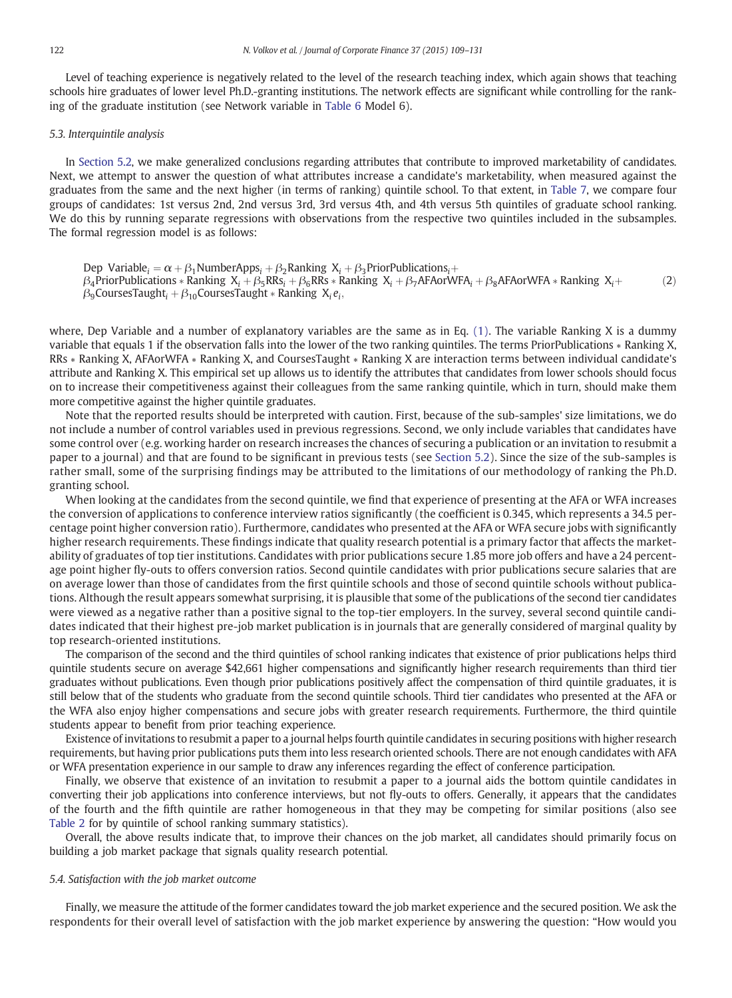<span id="page-13-0"></span>Level of teaching experience is negatively related to the level of the research teaching index, which again shows that teaching schools hire graduates of lower level Ph.D.-granting institutions. The network effects are significant while controlling for the ranking of the graduate institution (see Network variable in [Table 6](#page-12-0) Model 6).

#### 5.3. Interquintile analysis

In [Section 5.2,](#page-10-0) we make generalized conclusions regarding attributes that contribute to improved marketability of candidates. Next, we attempt to answer the question of what attributes increase a candidate's marketability, when measured against the graduates from the same and the next higher (in terms of ranking) quintile school. To that extent, in [Table 7](#page-14-0), we compare four groups of candidates: 1st versus 2nd, 2nd versus 3rd, 3rd versus 4th, and 4th versus 5th quintiles of graduate school ranking. We do this by running separate regressions with observations from the respective two quintiles included in the subsamples. The formal regression model is as follows:

Dep Variable<sub>i</sub> =  $\alpha$  +  $\beta$ <sub>1</sub>NumberApps<sub>i</sub> +  $\beta$ <sub>2</sub>Ranking X<sub>i</sub> +  $\beta$ <sub>3</sub>PriorPublications<sub>i</sub> +  $\beta_4$ PriorPublications \* Ranking  $X_i + \beta_5RRs_i + \beta_6RRs$  \* Ranking  $X_i + \beta_7$ AFAorWFA<sub>i</sub> +  $\beta_8$ AFAorWFA \* Ranking  $X_i +$  $\beta_9$ CoursesTaught $_i + \beta_{10}$ CoursesTaught  $*$  Ranking  $\,X_i\,e_i,\,$  $(2)$ 

where, Dep Variable and a number of explanatory variables are the same as in Eq. [\(1\)](#page-5-0). The variable Ranking X is a dummy variable that equals 1 if the observation falls into the lower of the two ranking quintiles. The terms PriorPublications ∗ Ranking X, RRs ∗ Ranking X, AFAorWFA ∗ Ranking X, and CoursesTaught ∗ Ranking X are interaction terms between individual candidate's attribute and Ranking X. This empirical set up allows us to identify the attributes that candidates from lower schools should focus on to increase their competitiveness against their colleagues from the same ranking quintile, which in turn, should make them more competitive against the higher quintile graduates.

Note that the reported results should be interpreted with caution. First, because of the sub-samples' size limitations, we do not include a number of control variables used in previous regressions. Second, we only include variables that candidates have some control over (e.g. working harder on research increases the chances of securing a publication or an invitation to resubmit a paper to a journal) and that are found to be significant in previous tests (see [Section 5.2](#page-10-0)). Since the size of the sub-samples is rather small, some of the surprising findings may be attributed to the limitations of our methodology of ranking the Ph.D. granting school.

When looking at the candidates from the second quintile, we find that experience of presenting at the AFA or WFA increases the conversion of applications to conference interview ratios significantly (the coefficient is 0.345, which represents a 34.5 percentage point higher conversion ratio). Furthermore, candidates who presented at the AFA or WFA secure jobs with significantly higher research requirements. These findings indicate that quality research potential is a primary factor that affects the marketability of graduates of top tier institutions. Candidates with prior publications secure 1.85 more job offers and have a 24 percentage point higher fly-outs to offers conversion ratios. Second quintile candidates with prior publications secure salaries that are on average lower than those of candidates from the first quintile schools and those of second quintile schools without publications. Although the result appears somewhat surprising, it is plausible that some of the publications of the second tier candidates were viewed as a negative rather than a positive signal to the top-tier employers. In the survey, several second quintile candidates indicated that their highest pre-job market publication is in journals that are generally considered of marginal quality by top research-oriented institutions.

The comparison of the second and the third quintiles of school ranking indicates that existence of prior publications helps third quintile students secure on average \$42,661 higher compensations and significantly higher research requirements than third tier graduates without publications. Even though prior publications positively affect the compensation of third quintile graduates, it is still below that of the students who graduate from the second quintile schools. Third tier candidates who presented at the AFA or the WFA also enjoy higher compensations and secure jobs with greater research requirements. Furthermore, the third quintile students appear to benefit from prior teaching experience.

Existence of invitations to resubmit a paper to a journal helps fourth quintile candidates in securing positions with higher research requirements, but having prior publications puts them into less research oriented schools. There are not enough candidates with AFA or WFA presentation experience in our sample to draw any inferences regarding the effect of conference participation.

Finally, we observe that existence of an invitation to resubmit a paper to a journal aids the bottom quintile candidates in converting their job applications into conference interviews, but not fly-outs to offers. Generally, it appears that the candidates of the fourth and the fifth quintile are rather homogeneous in that they may be competing for similar positions (also see [Table 2](#page-7-0) for by quintile of school ranking summary statistics).

Overall, the above results indicate that, to improve their chances on the job market, all candidates should primarily focus on building a job market package that signals quality research potential.

#### 5.4. Satisfaction with the job market outcome

Finally, we measure the attitude of the former candidates toward the job market experience and the secured position. We ask the respondents for their overall level of satisfaction with the job market experience by answering the question: "How would you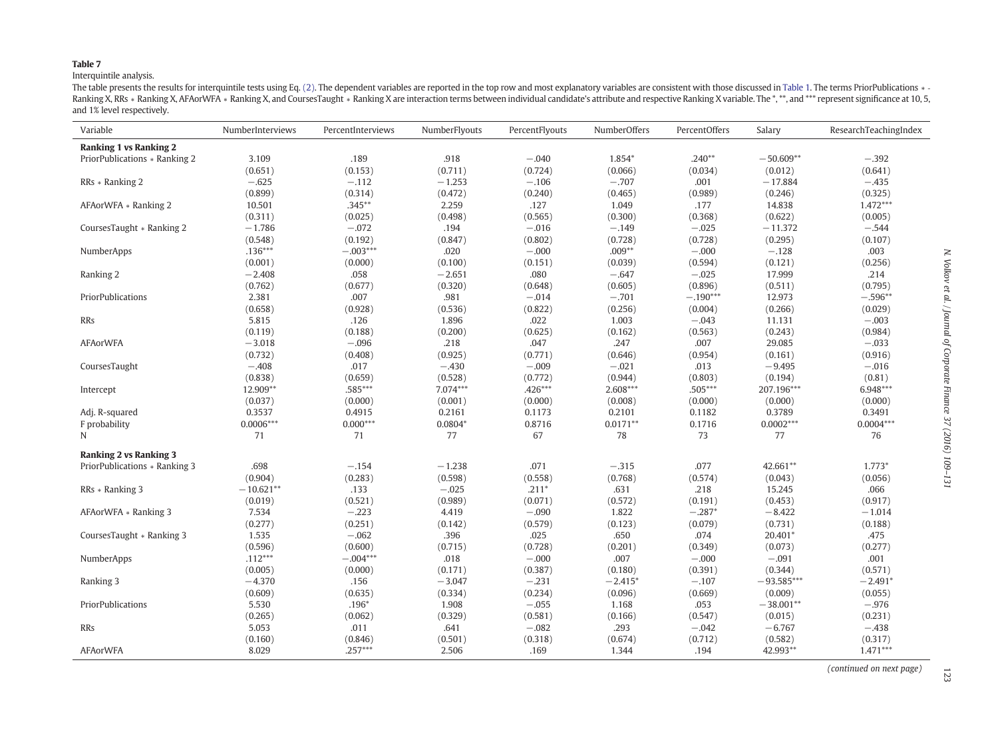#### <span id="page-14-0"></span>Interquintile analysis.

The table presents the results for interquintile tests using Eq. [\(2\)](#page-13-0). The dependent variables are reported in the top row and most explanatory variables are consistent with those discussed in [Table](#page-6-0) 1. The terms PriorPublic Ranking X, RRs \* Ranking X, AFAorWFA \* Ranking X, and CoursesTaught \* Ranking X are interaction terms between individual candidate's attribute and respective Ranking X variable. The \*, \*\*, and \*\*\* represent significance at and 1% level respectively.

| Variable                      | NumberInterviews | PercentInterviews | NumberFlyouts | PercentFlyouts | NumberOffers | PercentOffers | Salary       | ResearchTeachingIndex |
|-------------------------------|------------------|-------------------|---------------|----------------|--------------|---------------|--------------|-----------------------|
| <b>Ranking 1 vs Ranking 2</b> |                  |                   |               |                |              |               |              |                       |
| PriorPublications * Ranking 2 | 3.109            | .189              | .918          | $-.040$        | 1.854*       | $.240**$      | $-50.609**$  | $-.392$               |
|                               | (0.651)          | (0.153)           | (0.711)       | (0.724)        | (0.066)      | (0.034)       | (0.012)      | (0.641)               |
| RRs * Ranking 2               | $-.625$          | $-.112$           | $-1.253$      | $-.106$        | $-.707$      | .001          | $-17.884$    | $-.435$               |
|                               | (0.899)          | (0.314)           | (0.472)       | (0.240)        | (0.465)      | (0.989)       | (0.246)      | (0.325)               |
| AFAorWFA * Ranking 2          | 10.501           | $.345**$          | 2.259         | .127           | 1.049        | .177          | 14.838       | $1.472***$            |
|                               | (0.311)          | (0.025)           | (0.498)       | (0.565)        | (0.300)      | (0.368)       | (0.622)      | (0.005)               |
| CoursesTaught * Ranking 2     | $-1.786$         | $-.072$           | .194          | $-.016$        | $-.149$      | $-.025$       | $-11.372$    | $-.544$               |
|                               | (0.548)          | (0.192)           | (0.847)       | (0.802)        | (0.728)      | (0.728)       | (0.295)      | (0.107)               |
| NumberApps                    | $.136***$        | $-.003***$        | .020          | $-.000$        | $.009**$     | $-.000$       | $-.128$      | .003                  |
|                               | (0.001)          | (0.000)           | (0.100)       | (0.151)        | (0.039)      | (0.594)       | (0.121)      | (0.256)               |
| Ranking 2                     | $-2.408$         | .058              | $-2.651$      | .080           | $-.647$      | $-.025$       | 17.999       | .214                  |
|                               | (0.762)          | (0.677)           | (0.320)       | (0.648)        | (0.605)      | (0.896)       | (0.511)      | (0.795)               |
| PriorPublications             | 2.381            | .007              | .981          | $-.014$        | $-.701$      | $-.190***$    | 12.973       | $-.596**$             |
|                               | (0.658)          | (0.928)           | (0.536)       | (0.822)        | (0.256)      | (0.004)       | (0.266)      | (0.029)               |
| <b>RRs</b>                    | 5.815            | .126              | 1.896         | .022           | 1.003        | $-.043$       | 11.131       | $-.003$               |
|                               | (0.119)          | (0.188)           | (0.200)       | (0.625)        | (0.162)      | (0.563)       | (0.243)      | (0.984)               |
| <b>AFAorWFA</b>               | $-3.018$         | $-.096$           | .218          | .047           | .247         | .007          | 29.085       | $-.033$               |
|                               | (0.732)          | (0.408)           | (0.925)       | (0.771)        | (0.646)      | (0.954)       | (0.161)      | (0.916)               |
| CoursesTaught                 | $-.408$          | .017              | $-.430$       | $-.009$        | $-.021$      | .013          | $-9.495$     | $-.016$               |
|                               | (0.838)          | (0.659)           | (0.528)       | (0.772)        | (0.944)      | (0.803)       | (0.194)      | (0.81)                |
| Intercept                     | 12.909**         | .585***           | 7.074***      | $.426***$      | 2.608***     | $.505***$     | 207.196***   | 6.948***              |
|                               | (0.037)          | (0.000)           | (0.001)       | (0.000)        | (0.008)      | (0.000)       | (0.000)      | (0.000)               |
| Adj. R-squared                | 0.3537           | 0.4915            | 0.2161        | 0.1173         | 0.2101       | 0.1182        | 0.3789       | 0.3491                |
| F probability                 | $0.0006***$      | $0.000***$        | $0.0804*$     | 0.8716         | $0.0171**$   | 0.1716        | $0.0002***$  | $0.0004***$           |
| N                             | 71               | 71                | 77            | 67             | 78           | 73            | 77           | 76                    |
| <b>Ranking 2 vs Ranking 3</b> |                  |                   |               |                |              |               |              |                       |
| PriorPublications * Ranking 3 | .698             | $-.154$           | $-1.238$      | .071           | $-.315$      | .077          | 42.661**     | $1.773*$              |
|                               | (0.904)          | (0.283)           | (0.598)       | (0.558)        | (0.768)      | (0.574)       | (0.043)      | (0.056)               |
| RRs * Ranking 3               | $-10.621**$      | .133              | $-.025$       | $.211*$        | .631         | .218          | 15.245       | .066                  |
|                               | (0.019)          | (0.521)           | (0.989)       | (0.071)        | (0.572)      | (0.191)       | (0.453)      | (0.917)               |
| AFAorWFA * Ranking 3          | 7.534            | $-.223$           | 4.419         | $-.090$        | 1.822        | $-.287*$      | $-8.422$     | $-1.014$              |
|                               | (0.277)          | (0.251)           | (0.142)       | (0.579)        | (0.123)      | (0.079)       | (0.731)      | (0.188)               |
| CoursesTaught * Ranking 3     | 1.535            | $-.062$           | .396          | .025           | .650         | .074          | 20.401*      | .475                  |
|                               | (0.596)          | (0.600)           | (0.715)       | (0.728)        | (0.201)      | (0.349)       | (0.073)      | (0.277)               |
| NumberApps                    | $.112***$        | $-.004***$        | .018          | $-.000$        | .007         | $-.000$       | $-.091$      | .001                  |
|                               | (0.005)          | (0.000)           | (0.171)       | (0.387)        | (0.180)      | (0.391)       | (0.344)      | (0.571)               |
| Ranking 3                     | $-4.370$         | .156              | $-3.047$      | $-.231$        | $-2.415*$    | $-.107$       | $-93.585***$ | $-2.491*$             |
|                               | (0.609)          | (0.635)           | (0.334)       | (0.234)        | (0.096)      | (0.669)       | (0.009)      | (0.055)               |
| PriorPublications             | 5.530            | $.196*$           | 1.908         | $-.055$        | 1.168        | .053          | $-38.001**$  | $-.976$               |
|                               | (0.265)          | (0.062)           | (0.329)       | (0.581)        | (0.166)      | (0.547)       | (0.015)      | (0.231)               |
| <b>RRs</b>                    | 5.053            | .011              | .641          | $-.082$        | .293         | $-.042$       | $-6.767$     | $-.438$               |
|                               | (0.160)          | (0.846)           | (0.501)       | (0.318)        | (0.674)      | (0.712)       | (0.582)      | (0.317)               |
| <b>AFAorWFA</b>               | 8.029            | $.257***$         | 2.506         | .169           | 1.344        | .194          | 42.993**     | $1.471***$            |

(continued on next page)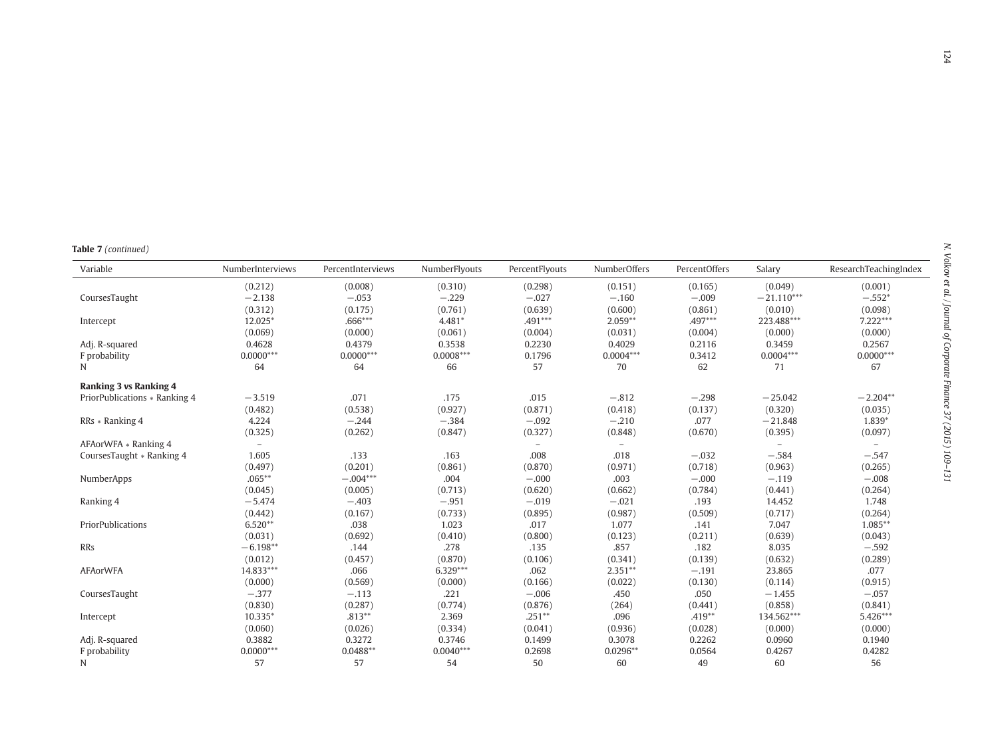| Table 7 (continued) |
|---------------------|
|---------------------|

| Variable                      | NumberInterviews         | PercentInterviews | NumberFlyouts | PercentFlyouts           | NumberOffers             | PercentOffers | Salary                   | ResearchTeachingIndex    |
|-------------------------------|--------------------------|-------------------|---------------|--------------------------|--------------------------|---------------|--------------------------|--------------------------|
|                               | (0.212)                  | (0.008)           | (0.310)       | (0.298)                  | (0.151)                  | (0.165)       | (0.049)                  | (0.001)                  |
| CoursesTaught                 | $-2.138$                 | $-.053$           | $-.229$       | $-.027$                  | $-.160$                  | $-.009$       | $-21.110***$             | $-.552*$                 |
|                               | (0.312)                  | (0.175)           | (0.761)       | (0.639)                  | (0.600)                  | (0.861)       | (0.010)                  | (0.098)                  |
| Intercept                     | 12.025*                  | .666***           | $4.481*$      | $.491***$                | $2.059**$                | .497***       | 223.488***               | 7.222***                 |
|                               | (0.069)                  | (0.000)           | (0.061)       | (0.004)                  | (0.031)                  | (0.004)       | (0.000)                  | (0.000)                  |
| Adj. R-squared                | 0.4628                   | 0.4379            | 0.3538        | 0.2230                   | 0.4029                   | 0.2116        | 0.3459                   | 0.2567                   |
| F probability                 | $0.0000***$              | $0.0000***$       | $0.0008***$   | 0.1796                   | $0.0004***$              | 0.3412        | $0.0004***$              | $0.0000***$              |
| N                             | 64                       | 64                | 66            | 57                       | 70                       | 62            | 71                       | 67                       |
| <b>Ranking 3 vs Ranking 4</b> |                          |                   |               |                          |                          |               |                          |                          |
| PriorPublications * Ranking 4 | $-3.519$                 | .071              | .175          | .015                     | $-.812$                  | $-.298$       | $-25.042$                | $-2.204**$               |
|                               | (0.482)                  | (0.538)           | (0.927)       | (0.871)                  | (0.418)                  | (0.137)       | (0.320)                  | (0.035)                  |
| RRs * Ranking 4               | 4.224                    | $-.244$           | $-.384$       | $-.092$                  | $-.210$                  | .077          | $-21.848$                | 1.839*                   |
|                               | (0.325)                  | (0.262)           | (0.847)       | (0.327)                  | (0.848)                  | (0.670)       | (0.395)                  | (0.097)                  |
| AFAorWFA * Ranking 4          | $\overline{\phantom{a}}$ |                   |               | $\overline{\phantom{a}}$ | $\overline{\phantom{a}}$ |               | $\overline{\phantom{a}}$ | $\overline{\phantom{a}}$ |
| CoursesTaught * Ranking 4     | 1.605                    | .133              | .163          | .008                     | .018                     | $-.032$       | $-.584$                  | $-.547$                  |
|                               | (0.497)                  | (0.201)           | (0.861)       | (0.870)                  | (0.971)                  | (0.718)       | (0.963)                  | (0.265)                  |
| NumberApps                    | $.065***$                | $-.004***$        | .004          | $-.000$                  | .003                     | $-.000$       | $-.119$                  | $-.008$                  |
|                               | (0.045)                  | (0.005)           | (0.713)       | (0.620)                  | (0.662)                  | (0.784)       | (0.441)                  | (0.264)                  |
| Ranking 4                     | $-5.474$                 | $-.403$           | $-.951$       | $-.019$                  | $-.021$                  | .193          | 14.452                   | 1.748                    |
|                               | (0.442)                  | (0.167)           | (0.733)       | (0.895)                  | (0.987)                  | (0.509)       | (0.717)                  | (0.264)                  |
| PriorPublications             | $6.520**$                | .038              | 1.023         | .017                     | 1.077                    | .141          | 7.047                    | $1.085**$                |
|                               | (0.031)                  | (0.692)           | (0.410)       | (0.800)                  | (0.123)                  | (0.211)       | (0.639)                  | (0.043)                  |
| RRs                           | $-6.198**$               | .144              | .278          | .135                     | .857                     | .182          | 8.035                    | $-.592$                  |
|                               | (0.012)                  | (0.457)           | (0.870)       | (0.106)                  | (0.341)                  | (0.139)       | (0.632)                  | (0.289)                  |
| <b>AFAorWFA</b>               | 14.833***                | .066              | $6.329***$    | .062                     | $2.351**$                | $-.191$       | 23.865                   | .077                     |
|                               | (0.000)                  | (0.569)           | (0.000)       | (0.166)                  | (0.022)                  | (0.130)       | (0.114)                  | (0.915)                  |
| CoursesTaught                 | $-.377$                  | $-.113$           | .221          | $-.006$                  | .450                     | .050          | $-1.455$                 | $-.057$                  |
|                               | (0.830)                  | (0.287)           | (0.774)       | (0.876)                  | (264)                    | (0.441)       | (0.858)                  | (0.841)                  |
| Intercept                     | 10.335*                  | $.813**$          | 2.369         | $.251**$                 | .096                     | $.419**$      | 134.562***               | 5.426***                 |
|                               | (0.060)                  | (0.026)           | (0.334)       | (0.041)                  | (0.936)                  | (0.028)       | (0.000)                  | (0.000)                  |
| Adj. R-squared                | 0.3882                   | 0.3272            | 0.3746        | 0.1499                   | 0.3078                   | 0.2262        | 0.0960                   | 0.1940                   |
| F probability                 | $0.0000***$              | $0.0488**$        | $0.0040***$   | 0.2698                   | $0.0296**$               | 0.0564        | 0.4267                   | 0.4282                   |
| N                             | 57                       | 57                | 54            | 50                       | 60                       | 49            | 60                       | 56                       |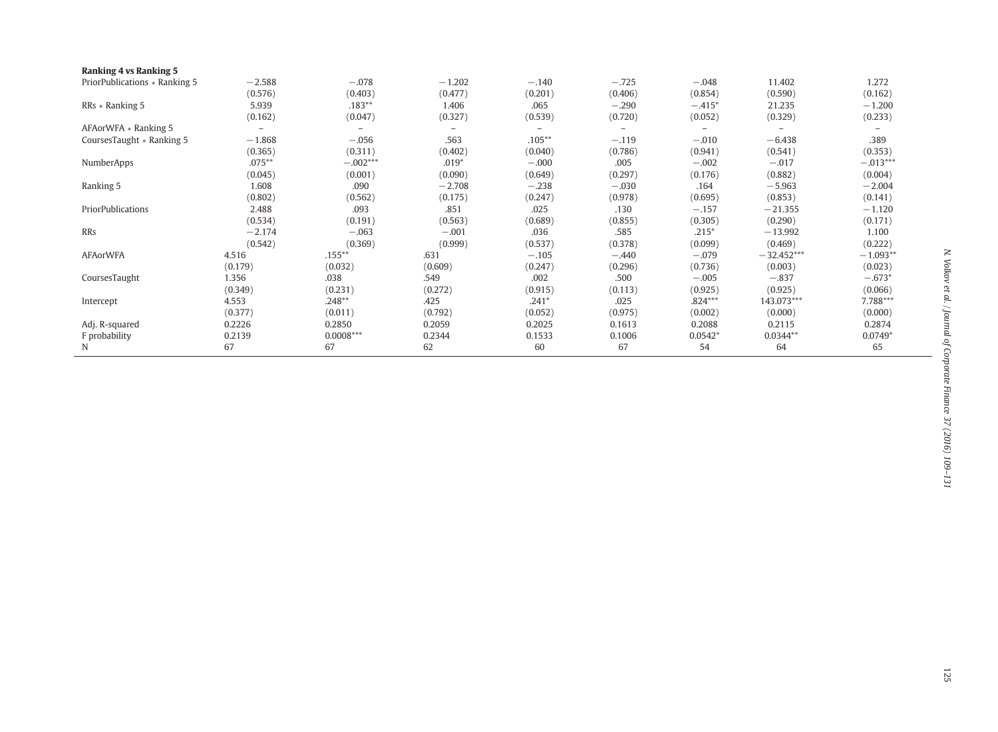| <b>Ranking 4 vs Ranking 5</b> |           |             |          |           |                          |           |              |            |
|-------------------------------|-----------|-------------|----------|-----------|--------------------------|-----------|--------------|------------|
| PriorPublications * Ranking 5 | $-2.588$  | $-.078$     | $-1.202$ | $-.140$   | $-.725$                  | $-.048$   | 11.402       | 1.272      |
|                               | (0.576)   | (0.403)     | (0.477)  | (0.201)   | (0.406)                  | (0.854)   | (0.590)      | (0.162)    |
| RRs * Ranking 5               | 5.939     | $.183**$    | 1.406    | .065      | $-.290$                  | $-.415*$  | 21.235       | $-1,200$   |
|                               | (0.162)   | (0.047)     | (0.327)  | (0.539)   | (0.720)                  | (0.052)   | (0.329)      | (0.233)    |
| AFAorWFA * Ranking 5          |           |             |          |           | $\overline{\phantom{0}}$ | -         |              |            |
| CoursesTaught * Ranking 5     | $-1.868$  | $-.056$     | .563     | $.105***$ | $-.119$                  | $-.010$   | $-6.438$     | .389       |
|                               | (0.365)   | (0.311)     | (0.402)  | (0.040)   | (0.786)                  | (0.941)   | (0.541)      | (0.353)    |
| NumberApps                    | $.075***$ | $-.002***$  | $.019*$  | $-.000$   | .005                     | $-.002$   | $-.017$      | $-.013***$ |
|                               | (0.045)   | (0.001)     | (0.090)  | (0.649)   | (0.297)                  | (0.176)   | (0.882)      | (0.004)    |
| Ranking 5                     | 1.608     | .090        | $-2.708$ | $-.238$   | $-.030$                  | .164      | $-5.963$     | $-2.004$   |
|                               | (0.802)   | (0.562)     | (0.175)  | (0.247)   | (0.978)                  | (0.695)   | (0.853)      | (0.141)    |
| PriorPublications             | 2.488     | .093        | .851     | .025      | .130                     | $-.157$   | $-21.355$    | $-1.120$   |
|                               | (0.534)   | (0.191)     | (0.563)  | (0.689)   | (0.855)                  | (0.305)   | (0.290)      | (0.171)    |
| RRs                           | $-2.174$  | $-.063$     | $-.001$  | .036      | .585                     | $.215*$   | $-13.992$    | 1.100      |
|                               | (0.542)   | (0.369)     | (0.999)  | (0.537)   | (0.378)                  | (0.099)   | (0.469)      | (0.222)    |
| <b>AFAorWFA</b>               | 4.516     | $.155***$   | .631     | $-.105$   | $-.440$                  | $-.079$   | $-32.452***$ | $-1.093**$ |
|                               | (0.179)   | (0.032)     | (0.609)  | (0.247)   | (0.296)                  | (0.736)   | (0.003)      | (0.023)    |
| CoursesTaught                 | 1.356     | .038        | .549     | .002      | .500                     | $-.005$   | $-.837$      | $-.673*$   |
|                               | (0.349)   | (0.231)     | (0.272)  | (0.915)   | (0.113)                  | (0.925)   | (0.925)      | (0.066)    |
| Intercept                     | 4.553     | $.248**$    | .425     | $.241*$   | .025                     | $.824***$ | 143.073***   | 7.788***   |
|                               | (0.377)   | (0.011)     | (0.792)  | (0.052)   | (0.975)                  | (0.002)   | (0.000)      | (0.000)    |
| Adj. R-squared                | 0.2226    | 0.2850      | 0.2059   | 0.2025    | 0.1613                   | 0.2088    | 0.2115       | 0.2874     |
| F probability                 | 0.2139    | $0.0008***$ | 0.2344   | 0.1533    | 0.1006                   | $0.0542*$ | $0.0344**$   | $0.0749*$  |
| N                             | 67        | 67          | 62       | 60        | 67                       | 54        | 64           | 65         |
|                               |           |             |          |           |                          |           |              |            |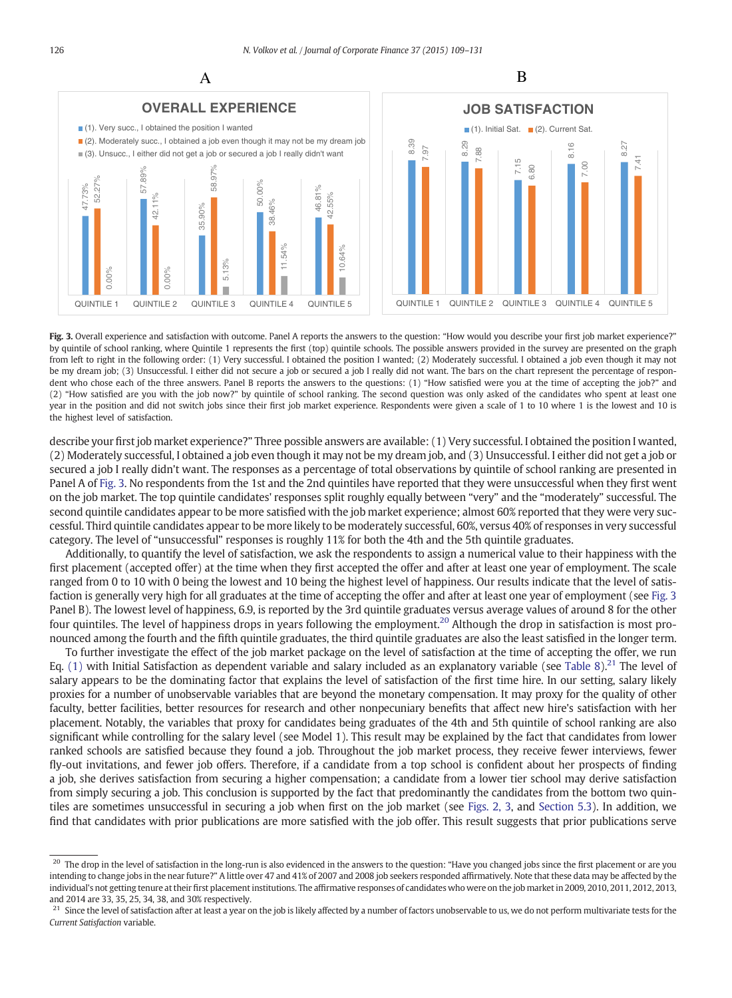



Fig. 3. Overall experience and satisfaction with outcome. Panel A reports the answers to the question: "How would you describe your first job market experience?" by quintile of school ranking, where Quintile 1 represents the first (top) quintile schools. The possible answers provided in the survey are presented on the graph from left to right in the following order: (1) Very successful. I obtained the position I wanted; (2) Moderately successful. I obtained a job even though it may not be my dream job; (3) Unsuccessful. I either did not secure a job or secured a job I really did not want. The bars on the chart represent the percentage of respondent who chose each of the three answers. Panel B reports the answers to the questions: (1) "How satisfied were you at the time of accepting the job?" and (2) "How satisfied are you with the job now?" by quintile of school ranking. The second question was only asked of the candidates who spent at least one year in the position and did not switch jobs since their first job market experience. Respondents were given a scale of 1 to 10 where 1 is the lowest and 10 is the highest level of satisfaction.

describe your first job market experience?" Three possible answers are available: (1) Very successful. I obtained the position I wanted, (2) Moderately successful, I obtained a job even though it may not be my dream job, and (3) Unsuccessful. I either did not get a job or secured a job I really didn't want. The responses as a percentage of total observations by quintile of school ranking are presented in Panel A of Fig. 3. No respondents from the 1st and the 2nd quintiles have reported that they were unsuccessful when they first went on the job market. The top quintile candidates' responses split roughly equally between "very" and the "moderately" successful. The second quintile candidates appear to be more satisfied with the job market experience; almost 60% reported that they were very successful. Third quintile candidates appear to be more likely to be moderately successful, 60%, versus 40% of responses in very successful category. The level of "unsuccessful" responses is roughly 11% for both the 4th and the 5th quintile graduates.

Additionally, to quantify the level of satisfaction, we ask the respondents to assign a numerical value to their happiness with the first placement (accepted offer) at the time when they first accepted the offer and after at least one year of employment. The scale ranged from 0 to 10 with 0 being the lowest and 10 being the highest level of happiness. Our results indicate that the level of satisfaction is generally very high for all graduates at the time of accepting the offer and after at least one year of employment (see Fig. 3 Panel B). The lowest level of happiness, 6.9, is reported by the 3rd quintile graduates versus average values of around 8 for the other four quintiles. The level of happiness drops in years following the employment.<sup>20</sup> Although the drop in satisfaction is most pronounced among the fourth and the fifth quintile graduates, the third quintile graduates are also the least satisfied in the longer term.

To further investigate the effect of the job market package on the level of satisfaction at the time of accepting the offer, we run Eq. [\(1\)](#page-5-0) with Initial Satisfaction as dependent variable and salary included as an explanatory variable (see [Table 8](#page-18-0)).<sup>21</sup> The level of salary appears to be the dominating factor that explains the level of satisfaction of the first time hire. In our setting, salary likely proxies for a number of unobservable variables that are beyond the monetary compensation. It may proxy for the quality of other faculty, better facilities, better resources for research and other nonpecuniary benefits that affect new hire's satisfaction with her placement. Notably, the variables that proxy for candidates being graduates of the 4th and 5th quintile of school ranking are also significant while controlling for the salary level (see Model 1). This result may be explained by the fact that candidates from lower ranked schools are satisfied because they found a job. Throughout the job market process, they receive fewer interviews, fewer fly-out invitations, and fewer job offers. Therefore, if a candidate from a top school is confident about her prospects of finding a job, she derives satisfaction from securing a higher compensation; a candidate from a lower tier school may derive satisfaction from simply securing a job. This conclusion is supported by the fact that predominantly the candidates from the bottom two quintiles are sometimes unsuccessful in securing a job when first on the job market (see [Figs. 2, 3,](#page-3-0) and [Section 5.3](#page-13-0)). In addition, we find that candidates with prior publications are more satisfied with the job offer. This result suggests that prior publications serve

<sup>&</sup>lt;sup>20</sup> The drop in the level of satisfaction in the long-run is also evidenced in the answers to the question: "Have you changed jobs since the first placement or are you intending to change jobs in the near future?" A little over 47 and 41% of 2007 and 2008 job seekers responded affirmatively. Note that these data may be affected by the individual's not getting tenure at their first placement institutions. The affirmative responses of candidates who were on the job market in 2009, 2010, 2011, 2012, 2013, and 2014 are 33, 35, 25, 34, 38, and 30% respectively.

<sup>&</sup>lt;sup>21</sup> Since the level of satisfaction after at least a year on the job is likely affected by a number of factors unobservable to us, we do not perform multivariate tests for the Current Satisfaction variable.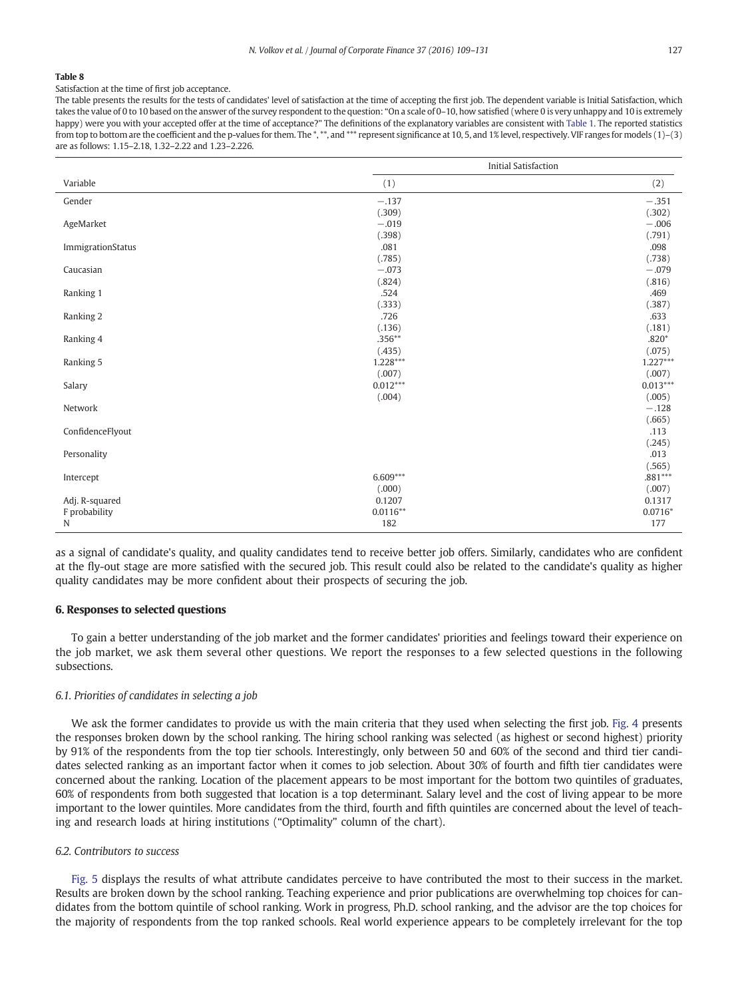<span id="page-18-0"></span>Satisfaction at the time of first job acceptance.

The table presents the results for the tests of candidates' level of satisfaction at the time of accepting the first job. The dependent variable is Initial Satisfaction, which takes the value of 0 to 10 based on the answer of the survey respondent to the question: "On a scale of 0–10, how satisfied (where 0 is very unhappy and 10 is extremely happy) were you with your accepted offer at the time of acceptance?" The definitions of the explanatory variables are consistent with [Table 1.](#page-6-0) The reported statistics from top to bottom are the coefficient and the p-values for them. The \*,\*\*, and \*\*\* represent significance at 10, 5, and 1% level, respectively. VIF ranges for models (1)-(3) are as follows: 1.15–2.18, 1.32–2.22 and 1.23–2.226.

|                   |            | <b>Initial Satisfaction</b> |
|-------------------|------------|-----------------------------|
| Variable          | (1)        | (2)                         |
| Gender            | $-.137$    | $-.351$                     |
|                   | (.309)     | (.302)                      |
| AgeMarket         | $-.019$    | $-.006$                     |
|                   | (.398)     | (.791)                      |
| ImmigrationStatus | .081       | .098                        |
|                   | (.785)     | (.738)                      |
| Caucasian         | $-.073$    | $-.079$                     |
|                   | (.824)     | (.816)                      |
| Ranking 1         | .524       | .469                        |
|                   | (.333)     | (.387)                      |
| Ranking 2         | .726       | .633                        |
|                   | (.136)     | (.181)                      |
| Ranking 4         | $.356**$   | $.820*$                     |
|                   | (.435)     | (.075)                      |
| Ranking 5         | 1.228***   | $1.227***$                  |
|                   | (.007)     | (.007)                      |
| Salary            | $0.012***$ | $0.013***$                  |
|                   | (.004)     | (.005)                      |
| Network           |            | $-.128$                     |
|                   |            | (.665)                      |
| ConfidenceFlyout  |            | .113                        |
|                   |            | (.245)                      |
| Personality       |            | .013                        |
|                   |            | (.565)                      |
| Intercept         | $6.609***$ | .881***                     |
|                   | (.000)     | (.007)                      |
| Adj. R-squared    | 0.1207     | 0.1317                      |
| F probability     | $0.0116**$ | $0.0716*$                   |
| N                 | 182        | 177                         |

as a signal of candidate's quality, and quality candidates tend to receive better job offers. Similarly, candidates who are confident at the fly-out stage are more satisfied with the secured job. This result could also be related to the candidate's quality as higher quality candidates may be more confident about their prospects of securing the job.

#### 6. Responses to selected questions

To gain a better understanding of the job market and the former candidates' priorities and feelings toward their experience on the job market, we ask them several other questions. We report the responses to a few selected questions in the following subsections.

#### 6.1. Priorities of candidates in selecting a job

We ask the former candidates to provide us with the main criteria that they used when selecting the first job. [Fig. 4](#page-19-0) presents the responses broken down by the school ranking. The hiring school ranking was selected (as highest or second highest) priority by 91% of the respondents from the top tier schools. Interestingly, only between 50 and 60% of the second and third tier candidates selected ranking as an important factor when it comes to job selection. About 30% of fourth and fifth tier candidates were concerned about the ranking. Location of the placement appears to be most important for the bottom two quintiles of graduates, 60% of respondents from both suggested that location is a top determinant. Salary level and the cost of living appear to be more important to the lower quintiles. More candidates from the third, fourth and fifth quintiles are concerned about the level of teaching and research loads at hiring institutions ("Optimality" column of the chart).

#### 6.2. Contributors to success

[Fig. 5](#page-20-0) displays the results of what attribute candidates perceive to have contributed the most to their success in the market. Results are broken down by the school ranking. Teaching experience and prior publications are overwhelming top choices for candidates from the bottom quintile of school ranking. Work in progress, Ph.D. school ranking, and the advisor are the top choices for the majority of respondents from the top ranked schools. Real world experience appears to be completely irrelevant for the top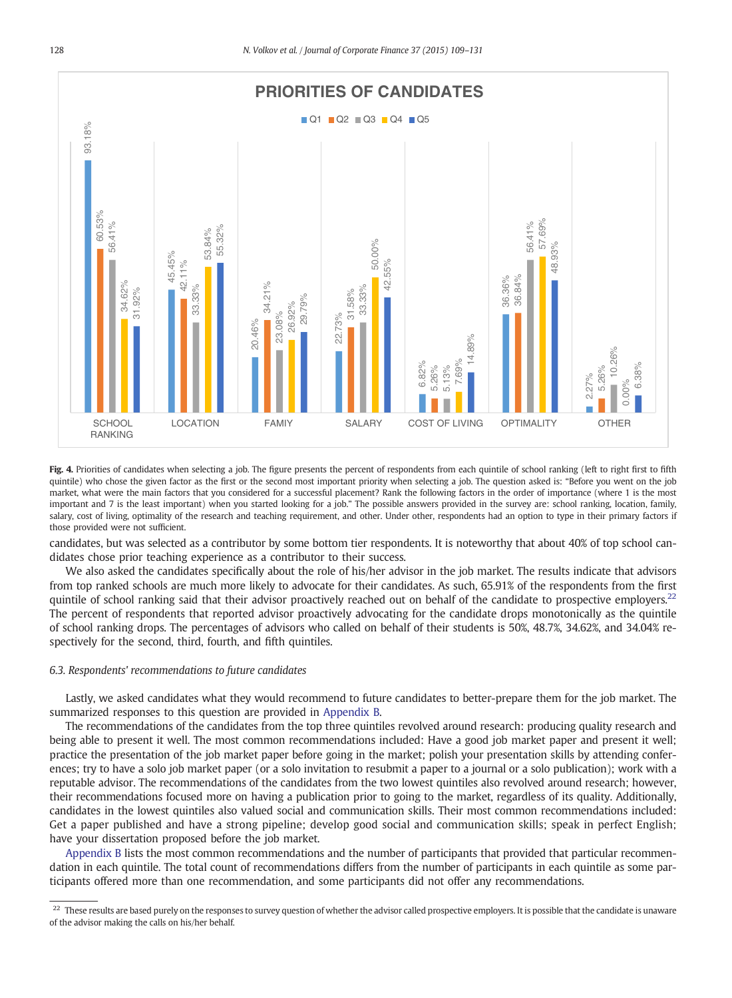<span id="page-19-0"></span>

Fig. 4. Priorities of candidates when selecting a job. The figure presents the percent of respondents from each quintile of school ranking (left to right first to fifth quintile) who chose the given factor as the first or the second most important priority when selecting a job. The question asked is: "Before you went on the job market, what were the main factors that you considered for a successful placement? Rank the following factors in the order of importance (where 1 is the most important and 7 is the least important) when you started looking for a job." The possible answers provided in the survey are: school ranking, location, family, salary, cost of living, optimality of the research and teaching requirement, and other. Under other, respondents had an option to type in their primary factors if those provided were not sufficient.

candidates, but was selected as a contributor by some bottom tier respondents. It is noteworthy that about 40% of top school candidates chose prior teaching experience as a contributor to their success.

We also asked the candidates specifically about the role of his/her advisor in the job market. The results indicate that advisors from top ranked schools are much more likely to advocate for their candidates. As such, 65.91% of the respondents from the first quintile of school ranking said that their advisor proactively reached out on behalf of the candidate to prospective employers.<sup>22</sup> The percent of respondents that reported advisor proactively advocating for the candidate drops monotonically as the quintile of school ranking drops. The percentages of advisors who called on behalf of their students is 50%, 48.7%, 34.62%, and 34.04% respectively for the second, third, fourth, and fifth quintiles.

#### 6.3. Respondents' recommendations to future candidates

Lastly, we asked candidates what they would recommend to future candidates to better-prepare them for the job market. The summarized responses to this question are provided in [Appendix B](#page-21-0).

The recommendations of the candidates from the top three quintiles revolved around research: producing quality research and being able to present it well. The most common recommendations included: Have a good job market paper and present it well; practice the presentation of the job market paper before going in the market; polish your presentation skills by attending conferences; try to have a solo job market paper (or a solo invitation to resubmit a paper to a journal or a solo publication); work with a reputable advisor. The recommendations of the candidates from the two lowest quintiles also revolved around research; however, their recommendations focused more on having a publication prior to going to the market, regardless of its quality. Additionally, candidates in the lowest quintiles also valued social and communication skills. Their most common recommendations included: Get a paper published and have a strong pipeline; develop good social and communication skills; speak in perfect English; have your dissertation proposed before the job market.

[Appendix B](#page-21-0) lists the most common recommendations and the number of participants that provided that particular recommendation in each quintile. The total count of recommendations differs from the number of participants in each quintile as some participants offered more than one recommendation, and some participants did not offer any recommendations.

 $^{22}$  These results are based purely on the responses to survey question of whether the advisor called prospective employers. It is possible that the candidate is unaware of the advisor making the calls on his/her behalf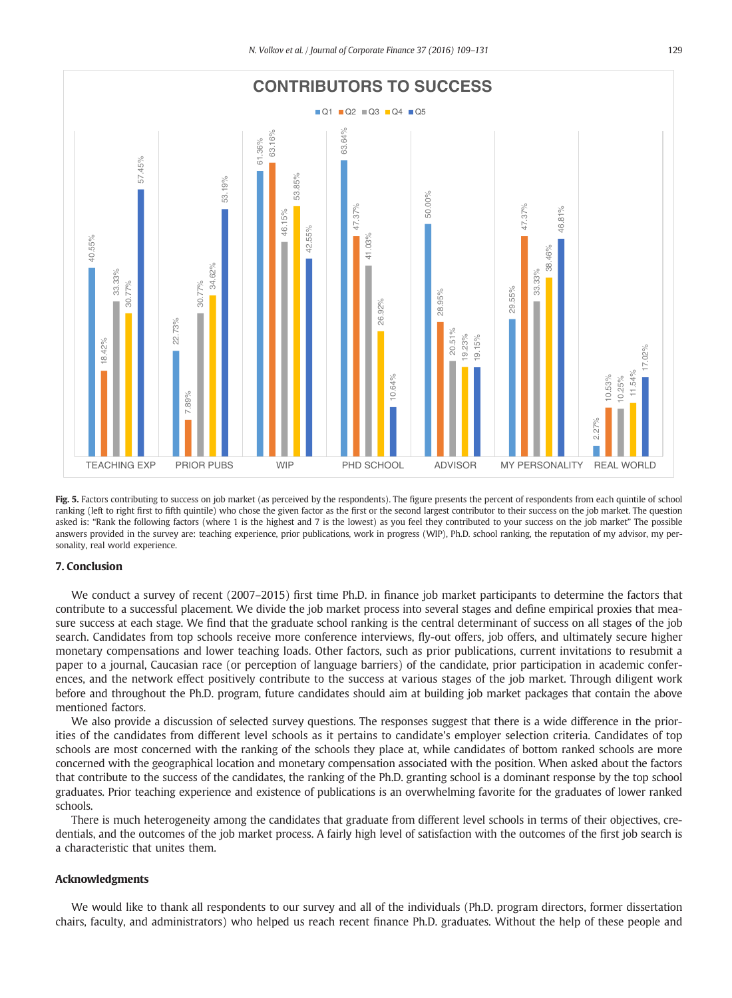<span id="page-20-0"></span>

Fig. 5. Factors contributing to success on job market (as perceived by the respondents). The figure presents the percent of respondents from each quintile of school ranking (left to right first to fifth quintile) who chose the given factor as the first or the second largest contributor to their success on the job market. The question asked is: "Rank the following factors (where 1 is the highest and 7 is the lowest) as you feel they contributed to your success on the job market" The possible answers provided in the survey are: teaching experience, prior publications, work in progress (WIP), Ph.D. school ranking, the reputation of my advisor, my personality, real world experience.

#### 7. Conclusion

We conduct a survey of recent (2007–2015) first time Ph.D. in finance job market participants to determine the factors that contribute to a successful placement. We divide the job market process into several stages and define empirical proxies that measure success at each stage. We find that the graduate school ranking is the central determinant of success on all stages of the job search. Candidates from top schools receive more conference interviews, fly-out offers, job offers, and ultimately secure higher monetary compensations and lower teaching loads. Other factors, such as prior publications, current invitations to resubmit a paper to a journal, Caucasian race (or perception of language barriers) of the candidate, prior participation in academic conferences, and the network effect positively contribute to the success at various stages of the job market. Through diligent work before and throughout the Ph.D. program, future candidates should aim at building job market packages that contain the above mentioned factors.

We also provide a discussion of selected survey questions. The responses suggest that there is a wide difference in the priorities of the candidates from different level schools as it pertains to candidate's employer selection criteria. Candidates of top schools are most concerned with the ranking of the schools they place at, while candidates of bottom ranked schools are more concerned with the geographical location and monetary compensation associated with the position. When asked about the factors that contribute to the success of the candidates, the ranking of the Ph.D. granting school is a dominant response by the top school graduates. Prior teaching experience and existence of publications is an overwhelming favorite for the graduates of lower ranked schools.

There is much heterogeneity among the candidates that graduate from different level schools in terms of their objectives, credentials, and the outcomes of the job market process. A fairly high level of satisfaction with the outcomes of the first job search is a characteristic that unites them.

#### Acknowledgments

We would like to thank all respondents to our survey and all of the individuals (Ph.D. program directors, former dissertation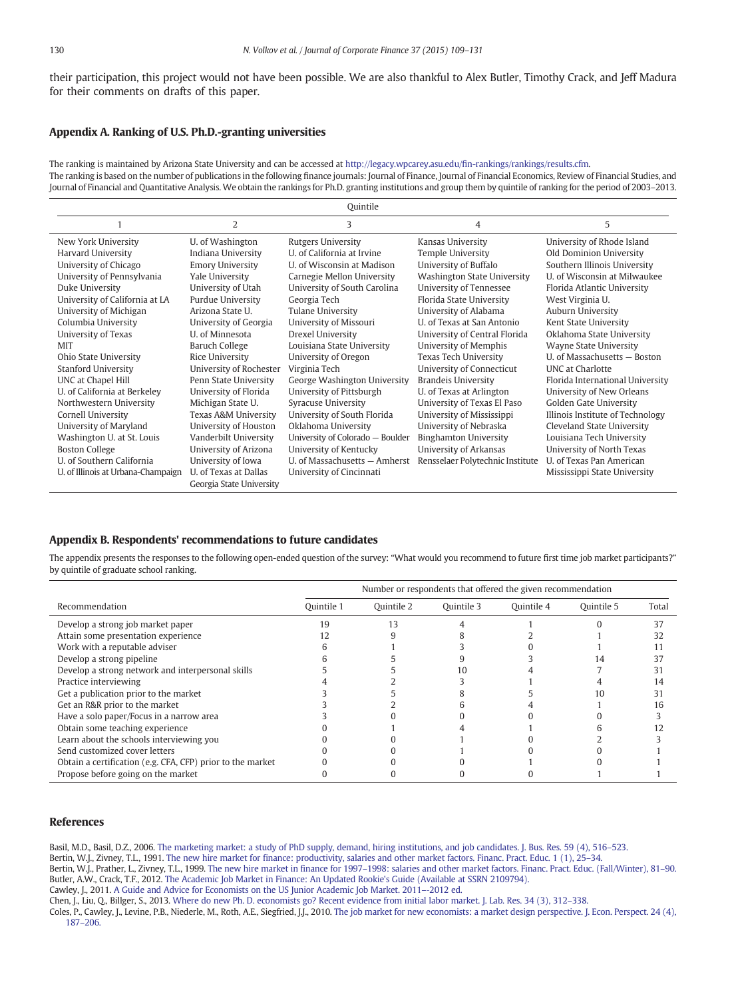<span id="page-21-0"></span>their participation, this project would not have been possible. We are also thankful to Alex Butler, Timothy Crack, and Jeff Madura for their comments on drafts of this paper.

#### Appendix A. Ranking of U.S. Ph.D.-granting universities

The ranking is maintained by Arizona State University and can be accessed at http://legacy.wpcarey.asu.edu/fi[n-rankings/rankings/results.cfm.](http://legacy.wpcarey.asu.edu/fin-rankings/rankings/results.cfm) The ranking is based on the number of publications in the following finance journals: Journal of Finance, Journal of Financial Economics, Review of Financial Studies, and Journal of Financial and Quantitative Analysis. We obtain the rankings for Ph.D. granting institutions and group them by quintile of ranking for the period of 2003–2013.

|                                    |                                                   | Quintile                         |                                  |                                  |
|------------------------------------|---------------------------------------------------|----------------------------------|----------------------------------|----------------------------------|
|                                    | 2                                                 | 3                                | 4                                | 5                                |
| New York University                | U. of Washington                                  | <b>Rutgers University</b>        | Kansas University                | University of Rhode Island       |
| Harvard University                 | Indiana University                                | U. of California at Irvine       | <b>Temple University</b>         | Old Dominion University          |
| University of Chicago              | <b>Emory University</b>                           | U. of Wisconsin at Madison       | University of Buffalo            | Southern Illinois University     |
| University of Pennsylvania         | Yale University                                   | Carnegie Mellon University       | Washington State University      | U. of Wisconsin at Milwaukee     |
| Duke University                    | University of Utah                                | University of South Carolina     | University of Tennessee          | Florida Atlantic University      |
| University of California at LA     | <b>Purdue University</b>                          | Georgia Tech                     | Florida State University         | West Virginia U.                 |
| University of Michigan             | Arizona State U.                                  | Tulane University                | University of Alabama            | Auburn University                |
| Columbia University                | University of Georgia                             | University of Missouri           | U. of Texas at San Antonio       | Kent State University            |
| University of Texas                | U. of Minnesota                                   | Drexel University                | University of Central Florida    | Oklahoma State University        |
| <b>MIT</b>                         | <b>Baruch College</b>                             | Louisiana State University       | University of Memphis            | Wayne State University           |
| Ohio State University              | Rice University                                   | University of Oregon             | Texas Tech University            | U. of Massachusetts - Boston     |
| <b>Stanford University</b>         | University of Rochester                           | Virginia Tech                    | University of Connecticut        | <b>UNC</b> at Charlotte          |
| UNC at Chapel Hill                 | Penn State University                             | George Washington University     | <b>Brandeis University</b>       | Florida International University |
| U. of California at Berkeley       | University of Florida                             | University of Pittsburgh         | U. of Texas at Arlington         | University of New Orleans        |
| Northwestern University            | Michigan State U.                                 | <b>Syracuse University</b>       | University of Texas El Paso      | Golden Gate University           |
| Cornell University                 | Texas A&M University                              | University of South Florida      | University of Mississippi        | Illinois Institute of Technology |
| University of Maryland             | University of Houston                             | Oklahoma University              | University of Nebraska           | Cleveland State University       |
| Washington U. at St. Louis         | Vanderbilt University                             | University of Colorado - Boulder | Binghamton University            | Louisiana Tech University        |
| <b>Boston College</b>              | University of Arizona                             | University of Kentucky           | University of Arkansas           | University of North Texas        |
| U. of Southern California          | University of Iowa                                | U. of Massachusetts - Amherst    | Rensselaer Polytechnic Institute | U. of Texas Pan American         |
| U. of Illinois at Urbana-Champaign | U. of Texas at Dallas<br>Georgia State University | University of Cincinnati         |                                  | Mississippi State University     |

#### Appendix B. Respondents' recommendations to future candidates

The appendix presents the responses to the following open-ended question of the survey: "What would you recommend to future first time job market participants?" by quintile of graduate school ranking.

|                                                            | Number or respondents that offered the given recommendation |            |            |            |            |       |
|------------------------------------------------------------|-------------------------------------------------------------|------------|------------|------------|------------|-------|
| Recommendation                                             | Ouintile 1                                                  | Ouintile 2 | Ouintile 3 | Ouintile 4 | Ouintile 5 | Total |
| Develop a strong job market paper                          | 19                                                          | 13         |            |            |            | 37    |
| Attain some presentation experience                        | 12                                                          |            |            |            |            | 32    |
| Work with a reputable adviser                              |                                                             |            |            |            |            |       |
| Develop a strong pipeline                                  |                                                             |            |            |            |            |       |
| Develop a strong network and interpersonal skills          |                                                             |            |            |            |            |       |
| Practice interviewing                                      |                                                             |            |            |            |            | 14    |
| Get a publication prior to the market                      |                                                             |            |            |            |            | 31    |
| Get an R&R prior to the market                             |                                                             |            |            |            |            | 16    |
| Have a solo paper/Focus in a narrow area                   |                                                             |            |            |            |            |       |
| Obtain some teaching experience                            |                                                             |            |            |            |            |       |
| Learn about the schools interviewing you                   |                                                             |            |            |            |            |       |
| Send customized cover letters                              |                                                             |            |            |            |            |       |
| Obtain a certification (e.g. CFA, CFP) prior to the market |                                                             |            |            |            |            |       |
| Propose before going on the market                         |                                                             |            |            |            |            |       |

#### References

Basil, M.D., Basil, D.Z., 2006. [The marketing market: a study of PhD supply, demand, hiring institutions, and job candidates. J. Bus. Res. 59 \(4\), 516](http://refhub.elsevier.com/S0929-1199(15)00161-3/rf0005)–523.

Bertin, W.J., Zivney, T.L., 1991. [The new hire market for finance: productivity, salaries and other market factors. Financ. Pract. Educ. 1 \(1\), 25](http://refhub.elsevier.com/S0929-1199(15)00161-3/rf0010)–34.

Bertin, W.J., Prather, L., Zivney, T.L., 1999. The new hire market in finance for 1997–[1998: salaries and other market factors. Financ. Pract. Educ. \(Fall/Winter\), 81](http://refhub.elsevier.com/S0929-1199(15)00161-3/rf0015)–90. Butler, A.W., Crack, T.F., 2012. [The Academic Job Market in Finance: An Updated Rookie's Guide \(Available at SSRN 2109794\)](http://refhub.elsevier.com/S0929-1199(15)00161-3/rf0020).

Cawley, J., 2011. [A Guide and Advice for Economists on the US Junior Academic Job Market. 2011](http://refhub.elsevier.com/S0929-1199(15)00161-3/rf0025)–‐2012 ed.

Chen, J., Liu, Q., Billger, S., 2013. [Where do new Ph. D. economists go? Recent evidence from initial labor market. J. Lab. Res. 34 \(3\), 312](http://refhub.elsevier.com/S0929-1199(15)00161-3/rf0030)–338.

Coles, P., Cawley, J., Levine, P.B., Niederle, M., Roth, A.E., Siegfried, J.J., 2010. [The job market for new economists: a market design perspective. J. Econ. Perspect. 24 \(4\),](http://refhub.elsevier.com/S0929-1199(15)00161-3/rf0035) 187–[206.](http://refhub.elsevier.com/S0929-1199(15)00161-3/rf0035)